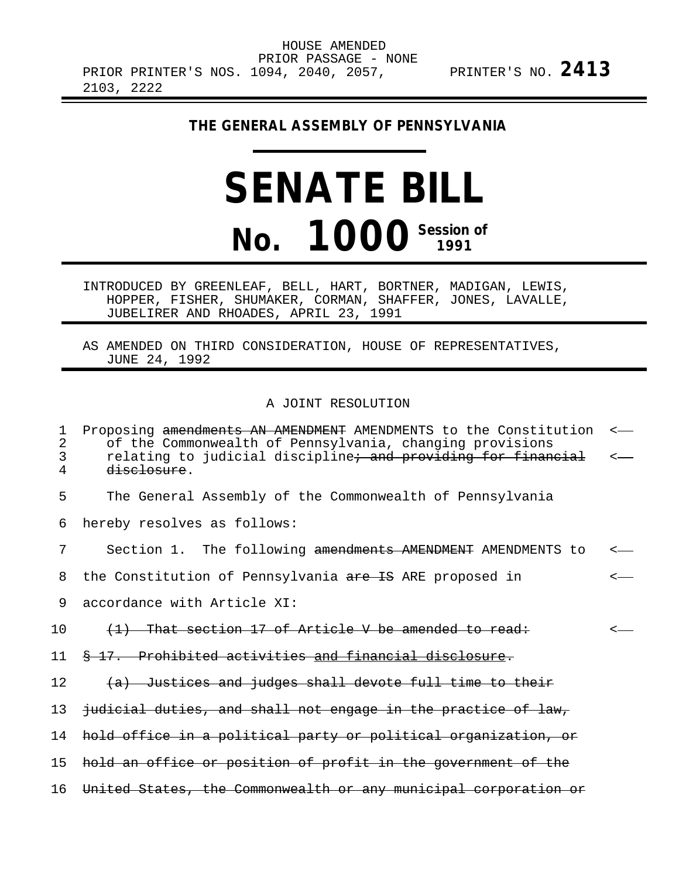HOUSE AMENDED PRIOR PASSAGE - NONE PRIOR PRINTER'S NOS. 1094, 2040, 2057, PRINTER'S NO. **2413** 2103, 2222

## **THE GENERAL ASSEMBLY OF PENNSYLVANIA**

## **SENATE BILL No. 1000 Session of**

INTRODUCED BY GREENLEAF, BELL, HART, BORTNER, MADIGAN, LEWIS, HOPPER, FISHER, SHUMAKER, CORMAN, SHAFFER, JONES, LAVALLE, JUBELIRER AND RHOADES, APRIL 23, 1991

AS AMENDED ON THIRD CONSIDERATION, HOUSE OF REPRESENTATIVES, JUNE 24, 1992

## A JOINT RESOLUTION

| 1<br>2<br>3<br>4 | Proposing amendments AN AMENDMENT AMENDMENTS to the Constitution<br>of the Commonwealth of Pennsylvania, changing provisions<br>relating to judicial discipline <del>; and providing for financial</del><br>disclosure. | $\leftarrow$ |
|------------------|-------------------------------------------------------------------------------------------------------------------------------------------------------------------------------------------------------------------------|--------------|
| 5                | The General Assembly of the Commonwealth of Pennsylvania                                                                                                                                                                |              |
| 6                | hereby resolves as follows:                                                                                                                                                                                             |              |
| 7                | Section 1. The following amendments AMENDMENT AMENDMENTS to                                                                                                                                                             |              |
| 8                | the Constitution of Pennsylvania are IS ARE proposed in                                                                                                                                                                 |              |
| 9                | accordance with Article XI:                                                                                                                                                                                             |              |
| 10               | (1) That section 17 of Article V be amended to read:                                                                                                                                                                    |              |
| 11               | \$ 17. Prohibited activities and financial disclosure.                                                                                                                                                                  |              |
| 12.              | (a) Justices and judges shall devote full time to their                                                                                                                                                                 |              |
| 13               | judicial duties, and shall not engage in the practice of law,                                                                                                                                                           |              |
| 14               | hold office in a political party or political organization, or                                                                                                                                                          |              |
| 15               | hold an office or position of profit in the government of the                                                                                                                                                           |              |
| 16               | United States, the Commonwealth or any municipal corporation or                                                                                                                                                         |              |
|                  |                                                                                                                                                                                                                         |              |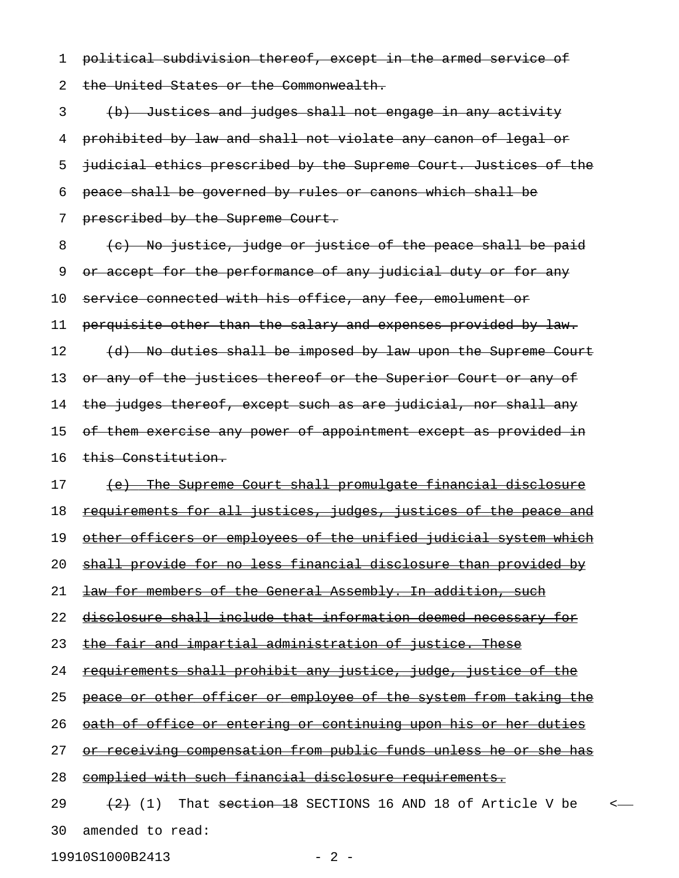1 political subdivision thereof, except in the armed service of 2 the United States or the Commonwealth.

3 (b) Justices and judges shall not engage in any activity 4 prohibited by law and shall not violate any canon of legal or 5 judicial ethics prescribed by the Supreme Court. Justices of the 6 peace shall be governed by rules or canons which shall be 7 prescribed by the Supreme Court.

8 (c) No justice, judge or justice of the peace shall be paid 9 or accept for the performance of any judicial duty or for any 10 service connected with his office, any fee, emolument or 11 perquisite other than the salary and expenses provided by law. 12 (d) No duties shall be imposed by law upon the Supreme Court 13 or any of the justices thereof or the Superior Court or any of 14 the judges thereof, except such as are judicial, nor shall any 15 of them exercise any power of appointment except as provided in 16 this Constitution.

17 (e) The Supreme Court shall promulgate financial disclosure

18 requirements for all justices, judges, justices of the peace and

19 other officers or employees of the unified judicial system which

20 shall provide for no less financial disclosure than provided by

21 **law for members of the General Assembly. In addition, such** 

22 disclosure shall include that information deemed necessary for

23 the fair and impartial administration of justice. These

24 requirements shall prohibit any justice, judge, justice of the

25 peace or other officer or employee of the system from taking the

26 oath of office or entering or continuing upon his or her duties

27 or receiving compensation from public funds unless he or she has

28 complied with such financial disclosure requirements.

29  $(2)$  (1) That  $\frac{18}{18}$  SECTIONS 16 AND 18 of Article V be <-30 amended to read:

19910S1000B2413 - 2 -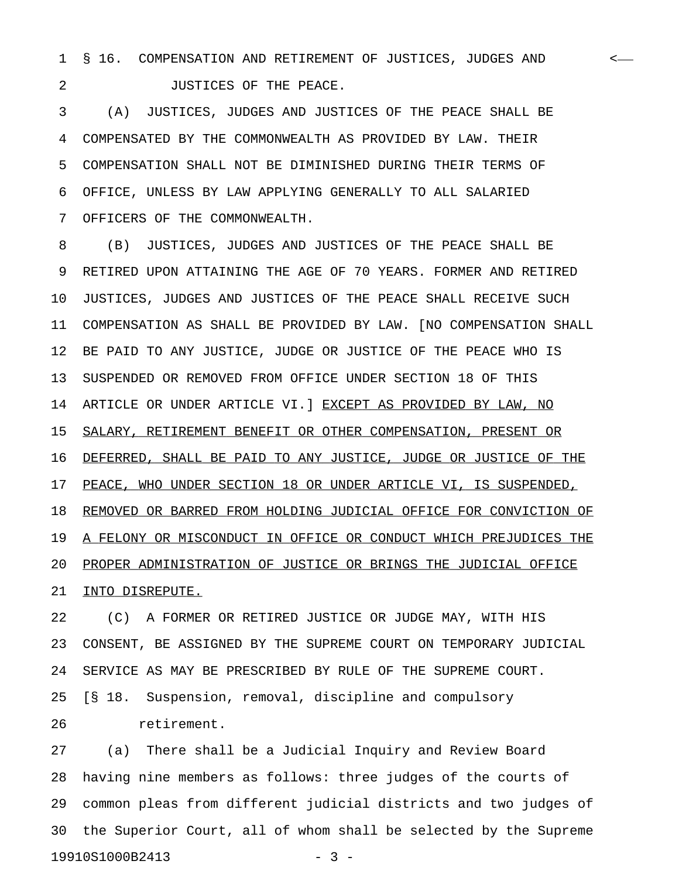1 § 16. COMPENSATION AND RETIREMENT OF JUSTICES, JUDGES AND < 2 **JUSTICES OF THE PEACE.** 

3 (A) JUSTICES, JUDGES AND JUSTICES OF THE PEACE SHALL BE 4 COMPENSATED BY THE COMMONWEALTH AS PROVIDED BY LAW. THEIR 5 COMPENSATION SHALL NOT BE DIMINISHED DURING THEIR TERMS OF 6 OFFICE, UNLESS BY LAW APPLYING GENERALLY TO ALL SALARIED 7 OFFICERS OF THE COMMONWEALTH.

8 (B) JUSTICES, JUDGES AND JUSTICES OF THE PEACE SHALL BE 9 RETIRED UPON ATTAINING THE AGE OF 70 YEARS. FORMER AND RETIRED 10 JUSTICES, JUDGES AND JUSTICES OF THE PEACE SHALL RECEIVE SUCH 11 COMPENSATION AS SHALL BE PROVIDED BY LAW. [NO COMPENSATION SHALL 12 BE PAID TO ANY JUSTICE, JUDGE OR JUSTICE OF THE PEACE WHO IS 13 SUSPENDED OR REMOVED FROM OFFICE UNDER SECTION 18 OF THIS 14 ARTICLE OR UNDER ARTICLE VI.] EXCEPT AS PROVIDED BY LAW, NO 15 SALARY, RETIREMENT BENEFIT OR OTHER COMPENSATION, PRESENT OR 16 DEFERRED, SHALL BE PAID TO ANY JUSTICE, JUDGE OR JUSTICE OF THE 17 PEACE, WHO UNDER SECTION 18 OR UNDER ARTICLE VI, IS SUSPENDED, 18 REMOVED OR BARRED FROM HOLDING JUDICIAL OFFICE FOR CONVICTION OF 19 A FELONY OR MISCONDUCT IN OFFICE OR CONDUCT WHICH PREJUDICES THE 20 PROPER ADMINISTRATION OF JUSTICE OR BRINGS THE JUDICIAL OFFICE 21 INTO DISREPUTE.

22 (C) A FORMER OR RETIRED JUSTICE OR JUDGE MAY, WITH HIS 23 CONSENT, BE ASSIGNED BY THE SUPREME COURT ON TEMPORARY JUDICIAL 24 SERVICE AS MAY BE PRESCRIBED BY RULE OF THE SUPREME COURT. 25 [§ 18. Suspension, removal, discipline and compulsory 26 retirement.

27 (a) There shall be a Judicial Inquiry and Review Board 28 having nine members as follows: three judges of the courts of 29 common pleas from different judicial districts and two judges of 30 the Superior Court, all of whom shall be selected by the Supreme 19910S1000B2413 - 3 -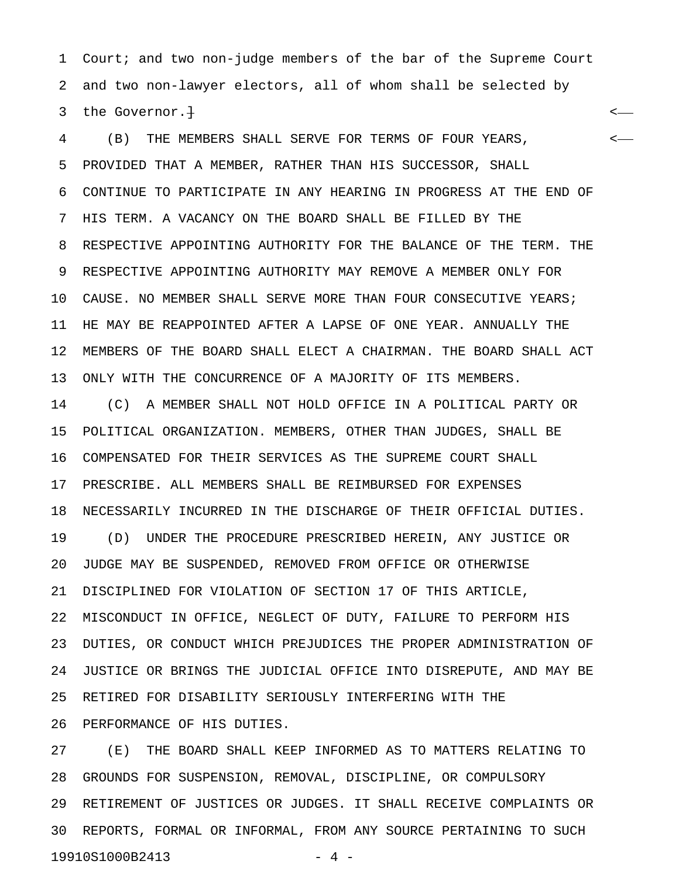1 Court; and two non-judge members of the bar of the Supreme Court 2 and two non-lawyer electors, all of whom shall be selected by 3 the Governor.<del>]</del>  $\longleftarrow$ 

4 (B) THE MEMBERS SHALL SERVE FOR TERMS OF FOUR YEARS, < 5 PROVIDED THAT A MEMBER, RATHER THAN HIS SUCCESSOR, SHALL 6 CONTINUE TO PARTICIPATE IN ANY HEARING IN PROGRESS AT THE END OF 7 HIS TERM. A VACANCY ON THE BOARD SHALL BE FILLED BY THE 8 RESPECTIVE APPOINTING AUTHORITY FOR THE BALANCE OF THE TERM. THE 9 RESPECTIVE APPOINTING AUTHORITY MAY REMOVE A MEMBER ONLY FOR 10 CAUSE. NO MEMBER SHALL SERVE MORE THAN FOUR CONSECUTIVE YEARS; 11 HE MAY BE REAPPOINTED AFTER A LAPSE OF ONE YEAR. ANNUALLY THE 12 MEMBERS OF THE BOARD SHALL ELECT A CHAIRMAN. THE BOARD SHALL ACT 13 ONLY WITH THE CONCURRENCE OF A MAJORITY OF ITS MEMBERS. 14 (C) A MEMBER SHALL NOT HOLD OFFICE IN A POLITICAL PARTY OR 15 POLITICAL ORGANIZATION. MEMBERS, OTHER THAN JUDGES, SHALL BE 16 COMPENSATED FOR THEIR SERVICES AS THE SUPREME COURT SHALL 17 PRESCRIBE. ALL MEMBERS SHALL BE REIMBURSED FOR EXPENSES 18 NECESSARILY INCURRED IN THE DISCHARGE OF THEIR OFFICIAL DUTIES.

19 (D) UNDER THE PROCEDURE PRESCRIBED HEREIN, ANY JUSTICE OR 20 JUDGE MAY BE SUSPENDED, REMOVED FROM OFFICE OR OTHERWISE 21 DISCIPLINED FOR VIOLATION OF SECTION 17 OF THIS ARTICLE, 22 MISCONDUCT IN OFFICE, NEGLECT OF DUTY, FAILURE TO PERFORM HIS 23 DUTIES, OR CONDUCT WHICH PREJUDICES THE PROPER ADMINISTRATION OF 24 JUSTICE OR BRINGS THE JUDICIAL OFFICE INTO DISREPUTE, AND MAY BE 25 RETIRED FOR DISABILITY SERIOUSLY INTERFERING WITH THE 26 PERFORMANCE OF HIS DUTIES.

27 (E) THE BOARD SHALL KEEP INFORMED AS TO MATTERS RELATING TO 28 GROUNDS FOR SUSPENSION, REMOVAL, DISCIPLINE, OR COMPULSORY 29 RETIREMENT OF JUSTICES OR JUDGES. IT SHALL RECEIVE COMPLAINTS OR 30 REPORTS, FORMAL OR INFORMAL, FROM ANY SOURCE PERTAINING TO SUCH 19910S1000B2413 - 4 -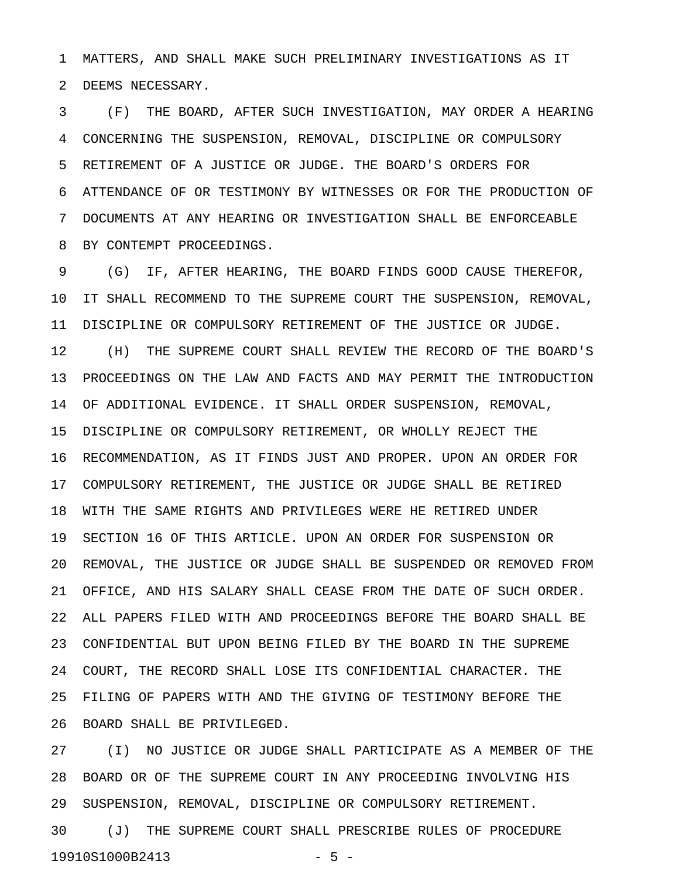1 MATTERS, AND SHALL MAKE SUCH PRELIMINARY INVESTIGATIONS AS IT 2 DEEMS NECESSARY.

3 (F) THE BOARD, AFTER SUCH INVESTIGATION, MAY ORDER A HEARING 4 CONCERNING THE SUSPENSION, REMOVAL, DISCIPLINE OR COMPULSORY 5 RETIREMENT OF A JUSTICE OR JUDGE. THE BOARD'S ORDERS FOR 6 ATTENDANCE OF OR TESTIMONY BY WITNESSES OR FOR THE PRODUCTION OF 7 DOCUMENTS AT ANY HEARING OR INVESTIGATION SHALL BE ENFORCEABLE 8 BY CONTEMPT PROCEEDINGS.

9 (G) IF, AFTER HEARING, THE BOARD FINDS GOOD CAUSE THEREFOR, 10 IT SHALL RECOMMEND TO THE SUPREME COURT THE SUSPENSION, REMOVAL, 11 DISCIPLINE OR COMPULSORY RETIREMENT OF THE JUSTICE OR JUDGE. 12 (H) THE SUPREME COURT SHALL REVIEW THE RECORD OF THE BOARD'S 13 PROCEEDINGS ON THE LAW AND FACTS AND MAY PERMIT THE INTRODUCTION 14 OF ADDITIONAL EVIDENCE. IT SHALL ORDER SUSPENSION, REMOVAL, 15 DISCIPLINE OR COMPULSORY RETIREMENT, OR WHOLLY REJECT THE 16 RECOMMENDATION, AS IT FINDS JUST AND PROPER. UPON AN ORDER FOR 17 COMPULSORY RETIREMENT, THE JUSTICE OR JUDGE SHALL BE RETIRED 18 WITH THE SAME RIGHTS AND PRIVILEGES WERE HE RETIRED UNDER 19 SECTION 16 OF THIS ARTICLE. UPON AN ORDER FOR SUSPENSION OR 20 REMOVAL, THE JUSTICE OR JUDGE SHALL BE SUSPENDED OR REMOVED FROM 21 OFFICE, AND HIS SALARY SHALL CEASE FROM THE DATE OF SUCH ORDER. 22 ALL PAPERS FILED WITH AND PROCEEDINGS BEFORE THE BOARD SHALL BE 23 CONFIDENTIAL BUT UPON BEING FILED BY THE BOARD IN THE SUPREME 24 COURT, THE RECORD SHALL LOSE ITS CONFIDENTIAL CHARACTER. THE 25 FILING OF PAPERS WITH AND THE GIVING OF TESTIMONY BEFORE THE 26 BOARD SHALL BE PRIVILEGED.

27 (I) NO JUSTICE OR JUDGE SHALL PARTICIPATE AS A MEMBER OF THE 28 BOARD OR OF THE SUPREME COURT IN ANY PROCEEDING INVOLVING HIS 29 SUSPENSION, REMOVAL, DISCIPLINE OR COMPULSORY RETIREMENT. 30 (J) THE SUPREME COURT SHALL PRESCRIBE RULES OF PROCEDURE 19910S1000B2413 - 5 -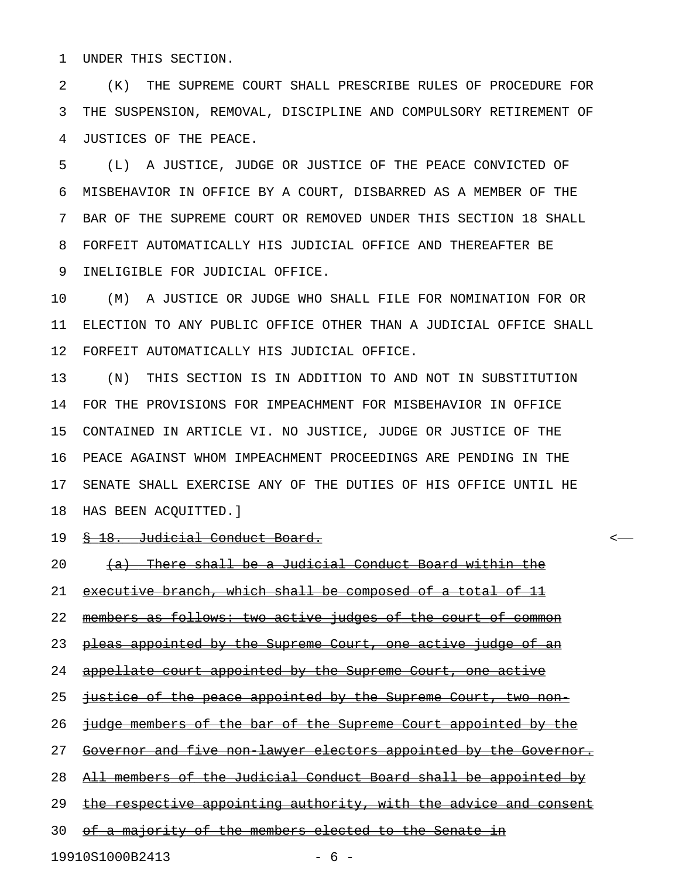1 UNDER THIS SECTION.

2 (K) THE SUPREME COURT SHALL PRESCRIBE RULES OF PROCEDURE FOR 3 THE SUSPENSION, REMOVAL, DISCIPLINE AND COMPULSORY RETIREMENT OF 4 JUSTICES OF THE PEACE.

5 (L) A JUSTICE, JUDGE OR JUSTICE OF THE PEACE CONVICTED OF 6 MISBEHAVIOR IN OFFICE BY A COURT, DISBARRED AS A MEMBER OF THE 7 BAR OF THE SUPREME COURT OR REMOVED UNDER THIS SECTION 18 SHALL 8 FORFEIT AUTOMATICALLY HIS JUDICIAL OFFICE AND THEREAFTER BE 9 INELIGIBLE FOR JUDICIAL OFFICE.

10 (M) A JUSTICE OR JUDGE WHO SHALL FILE FOR NOMINATION FOR OR 11 ELECTION TO ANY PUBLIC OFFICE OTHER THAN A JUDICIAL OFFICE SHALL 12 FORFEIT AUTOMATICALLY HIS JUDICIAL OFFICE.

13 (N) THIS SECTION IS IN ADDITION TO AND NOT IN SUBSTITUTION 14 FOR THE PROVISIONS FOR IMPEACHMENT FOR MISBEHAVIOR IN OFFICE 15 CONTAINED IN ARTICLE VI. NO JUSTICE, JUDGE OR JUSTICE OF THE 16 PEACE AGAINST WHOM IMPEACHMENT PROCEEDINGS ARE PENDING IN THE 17 SENATE SHALL EXERCISE ANY OF THE DUTIES OF HIS OFFICE UNTIL HE 18 HAS BEEN ACQUITTED.]

19 <del>§ 18. Judicial Conduct Board.</del>  $\sim$ 

20 (a) There shall be a Judicial Conduct Board within the

21 executive branch, which shall be composed of a total of 11

22 members as follows: two active judges of the court of common

23 pleas appointed by the Supreme Court, one active judge of an

24 appellate court appointed by the Supreme Court, one active

25 justice of the peace appointed by the Supreme Court, two non-

26 judge members of the bar of the Supreme Court appointed by the

27 Governor and five non lawyer electors appointed by the Governor.

28 All members of the Judicial Conduct Board shall be appointed by

29 the respective appointing authority, with the advice and consent

30 of a majority of the members elected to the Senate in

19910S1000B2413 - 6 -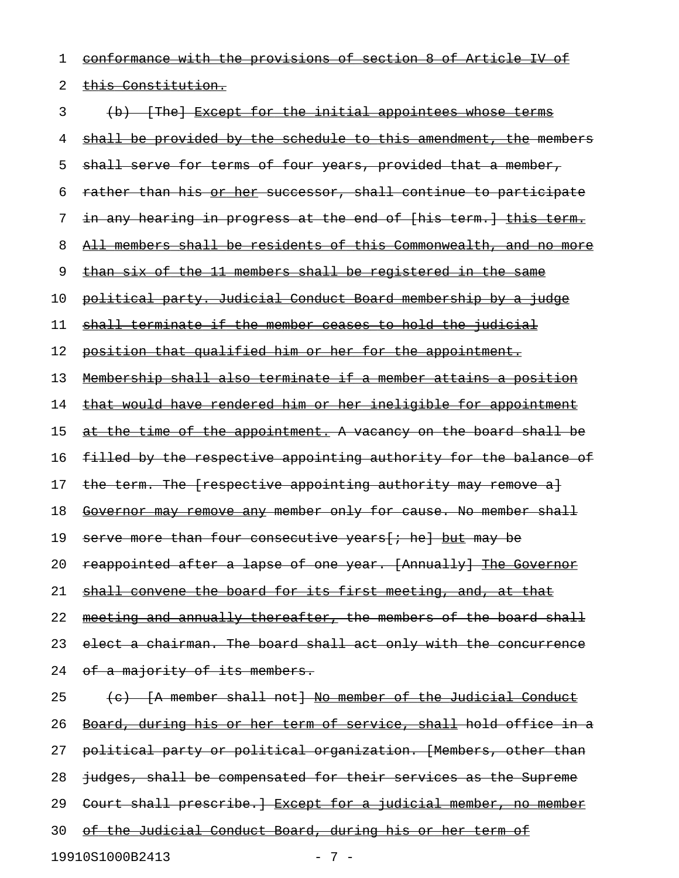1 conformance with the provisions of section 8 of Article IV of 2 this Constitution. 3 (b) [The] Except for the initial appointees whose terms 4 shall be provided by the schedule to this amendment, the members 5 shall serve for terms of four years, provided that a member, 6 rather than his or her successor, shall continue to participate 7 in any hearing in progress at the end of [his term.] this term. 8 All members shall be residents of this Commonwealth, and no more 9 than six of the 11 members shall be registered in the same 10 political party. Judicial Conduct Board membership by a judge 11 shall terminate if the member ceases to hold the judicial 12 position that qualified him or her for the appointment. 13 Membership shall also terminate if a member attains a position 14 that would have rendered him or her ineligible for appointment 15 at the time of the appointment. A vacancy on the board shall be 16 filled by the respective appointing authority for the balance of 17 the term. The [respective appointing authority may remove a] 18 Governor may remove any member only for cause. No member shall 19 serve more than four consecutive years [; he] but may be 20 reappointed after a lapse of one year. [Annually] The Governor 21 shall convene the board for its first meeting, and, at that 22 meeting and annually thereafter, the members of the board shall 23 elect a chairman. The board shall act only with the concurrence 24 of a majority of its members.  $25$  (c)  $\{A \text{ member shall not}\}$  No member of the Judicial Conduct 26 Board, during his or her term of service, shall hold office in a 27 political party or political organization. [Members, other than 28 judges, shall be compensated for their services as the Supreme 29 Court shall prescribe.] Except for a judicial member, no member 30 of the Judicial Conduct Board, during his or her term of

19910S1000B2413 - 7 -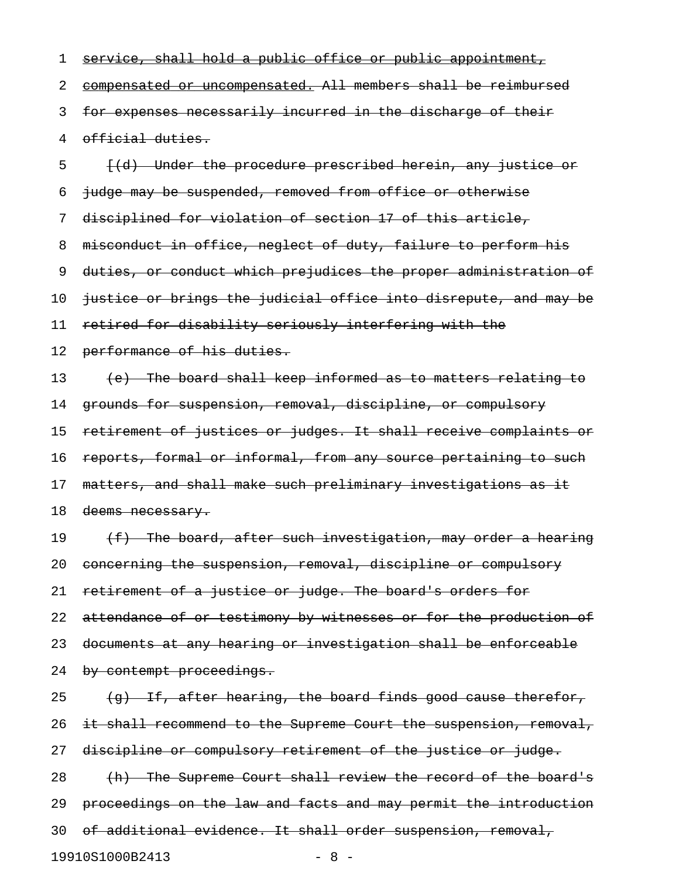1 service, shall hold a public office or public appointment, 2 compensated or uncompensated. All members shall be reimbursed 3 for expenses necessarily incurred in the discharge of their 4 official duties. 5 [(d) Under the procedure prescribed herein, any justice or 6 judge may be suspended, removed from office or otherwise 7 disciplined for violation of section 17 of this article, 8 misconduct in office, neglect of duty, failure to perform his 9 duties, or conduct which prejudices the proper administration of 10 justice or brings the judicial office into disrepute, and may be 11 retired for disability seriously interfering with the 12 performance of his duties. 13 (e) The board shall keep informed as to matters relating to 14 grounds for suspension, removal, discipline, or compulsory 15 retirement of justices or judges. It shall receive complaints or 16 reports, formal or informal, from any source pertaining to such 17 matters, and shall make such preliminary investigations as it 18 deems necessary. 19  $(f)$  The board, after such investigation, may order a hearing 20 concerning the suspension, removal, discipline or compulsory 21 retirement of a justice or judge. The board's orders for 22 attendance of or testimony by witnesses or for the production of 23 documents at any hearing or investigation shall be enforceable 24 by contempt proceedings. 25  $\left\{\right.$   $\left\{\right.$   $\left\{\right. \right.$  after hearing, the board finds good cause therefor, 26 it shall recommend to the Supreme Court the suspension, removal, 27 discipline or compulsory retirement of the justice or judge. 28 (h) The Supreme Court shall review the record of the board's 29 proceedings on the law and facts and may permit the introduction 30 of additional evidence. It shall order suspension, removal, 19910S1000B2413 - 8 -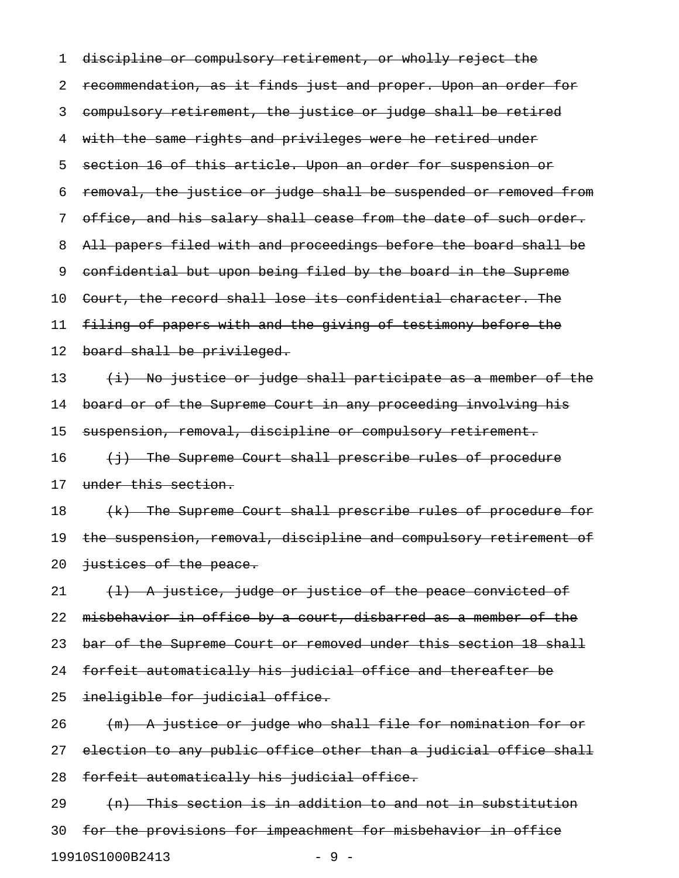1 discipline or compulsory retirement, or wholly reject the 2 recommendation, as it finds just and proper. Upon an order for 3 compulsory retirement, the justice or judge shall be retired 4 with the same rights and privileges were he retired under 5 section 16 of this article. Upon an order for suspension or 6 removal, the justice or judge shall be suspended or removed from 7 office, and his salary shall cease from the date of such order. 8 All papers filed with and proceedings before the board shall be 9 confidential but upon being filed by the board in the Supreme 10 Court, the record shall lose its confidential character. The 11 filing of papers with and the giving of testimony before the 12 board shall be privileged. 13  $(i)$  No justice or judge shall participate as a member of the 14 board or of the Supreme Court in any proceeding involving his 15 suspension, removal, discipline or compulsory retirement.  $16$  (i) The Supreme Court shall prescribe rules of procedure 17 under this section. 18 (k) The Supreme Court shall prescribe rules of procedure for 19 the suspension, removal, discipline and compulsory retirement of 20 justices of the peace.  $21$   $(1)$  A justice, judge or justice of the peace convicted of 22 misbehavior in office by a court, disbarred as a member of the 23 bar of the Supreme Court or removed under this section 18 shall 24 forfeit automatically his judicial office and thereafter be 25 ineligible for judicial office. 26 (m) A justice or judge who shall file for nomination for or 27 election to any public office other than a judicial office shall 28 forfeit automatically his judicial office.  $29$  (n) This section is in addition to and not in substitution 30 for the provisions for impeachment for misbehavior in office

19910S1000B2413 - 9 -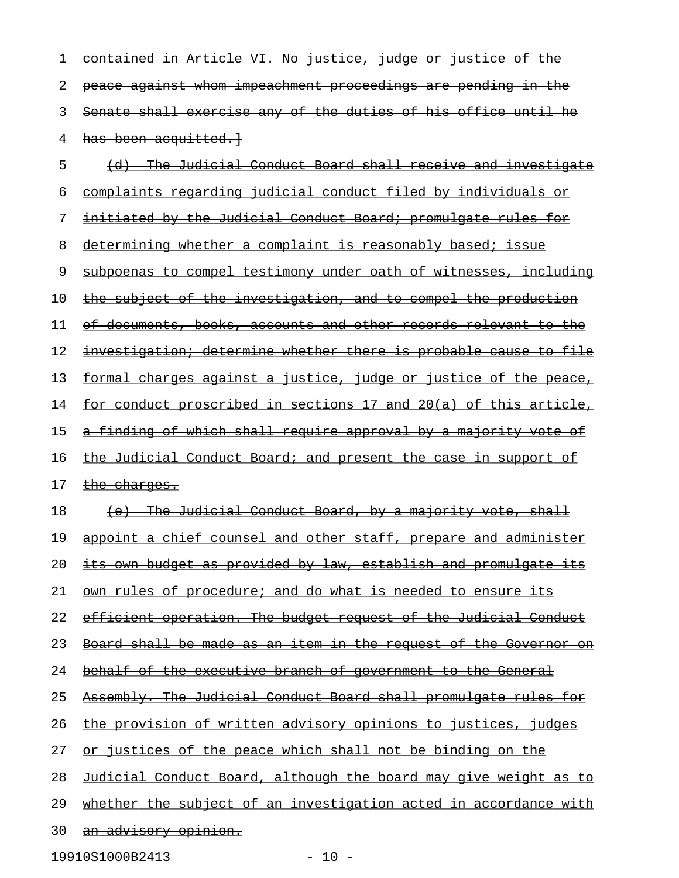1 contained in Article VI. No justice, judge or justice of the 2 peace against whom impeachment proceedings are pending in the 3 Senate shall exercise any of the duties of his office until he 4 has been acquitted.} 5 (d) The Judicial Conduct Board shall receive and investigate 6 complaints regarding judicial conduct filed by individuals or 7 initiated by the Judicial Conduct Board; promulgate rules for 8 determining whether a complaint is reasonably based; issue 9 subpoenas to compel testimony under oath of witnesses, including 10 the subject of the investigation, and to compel the production 11 of documents, books, accounts and other records relevant to the 12 investigation; determine whether there is probable cause to file 13 formal charges against a justice, judge or justice of the peace, 14 for conduct proscribed in sections 17 and 20(a) of this article, 15 a finding of which shall require approval by a majority vote of 16 the Judicial Conduct Board; and present the case in support of 17 the charges. 18 (e) The Judicial Conduct Board, by a majority vote, shall 19 appoint a chief counsel and other staff, prepare and administer 20 its own budget as provided by law, establish and promulgate its 21 own rules of procedure; and do what is needed to ensure its 22 efficient operation. The budget request of the Judicial Conduct 23 Board shall be made as an item in the request of the Governor on 24 behalf of the executive branch of government to the General 25 Assembly. The Judicial Conduct Board shall promulgate rules for 26 the provision of written advisory opinions to justices, judges 27 or justices of the peace which shall not be binding on the 28 Judicial Conduct Board, although the board may give weight as to 29 whether the subject of an investigation acted in accordance with 30 an advisory opinion.

19910S1000B2413 - 10 -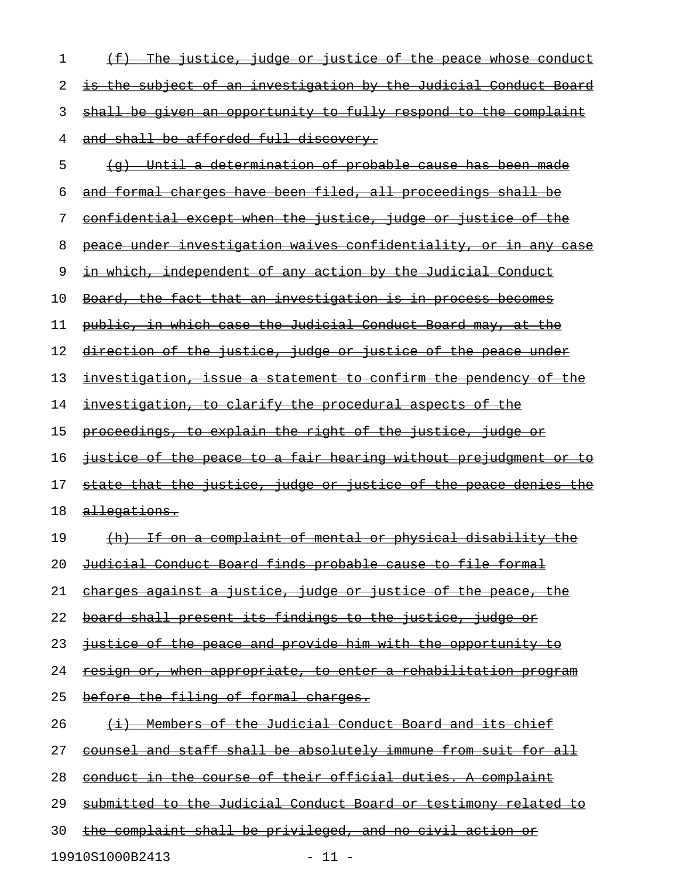| 1  | <u>(f) The justice, judge or justice of the peace whose conduct</u>     |
|----|-------------------------------------------------------------------------|
| 2  | <u>is the subject of an investigation by the Judicial Conduct Board</u> |
| 3  | shall be given an opportunity to fully respond to the complaint         |
| 4  | and shall be afforded full discovery.                                   |
| 5  | (g) Until a determination of probable cause has been made               |
| 6  | and formal charges have been filed, all proceedings shall be            |
| 7  | <u>confidential except when the justice, judge or justice of the</u>    |
| 8  | peace under investigation waives confidentiality, or in any case        |
| 9  | <u>in which, independent of any action by the Judicial Conduct</u>      |
| 10 | Board, the fact that an investigation is in process becomes             |
| 11 | public, in which case the Judicial Conduct Board may, at the            |
| 12 | <u>direction of the justice, judge or justice of the peace under</u>    |
| 13 | investigation, issue a statement to confirm the pendency of the         |
| 14 | <u>investigation, to clarify the procedural aspects of the </u>         |
| 15 | proceedings, to explain the right of the justice, judge or              |
| 16 | <u>justice of the peace to a fair hearing without prejudgment or to</u> |
| 17 | <u>state that the justice, judge or justice of the peace denies the</u> |
| 18 | <u>allegations.</u>                                                     |
| 19 | <u>(h) If on a complaint of mental or physical disability the</u>       |
| 20 | <u>Judicial Conduct Board finds probable cause to file formal</u>       |
| 21 | charges against a justice, judge or justice of the peace, the           |
| 22 | board shall present its findings to the justice, judge or               |
| 23 | justice of the peace and provide him with the opportunity to            |
| 24 | <u>resign or, when appropriate, to enter a rehabilitation program</u>   |
| 25 | before the filing of formal charges.                                    |
| 26 | <u>(i) Members of the Judicial Conduct Board and its chief</u>          |
| 27 | counsel and staff shall be absolutely immune from suit for all          |
| 28 | conduct in the course of their official duties. A complaint             |
| 29 | submitted to the Judicial Conduct Board or testimony related to         |
| 30 | the complaint shall be privileged, and no civil action or               |
|    |                                                                         |

19910S1000B2413 - 11 -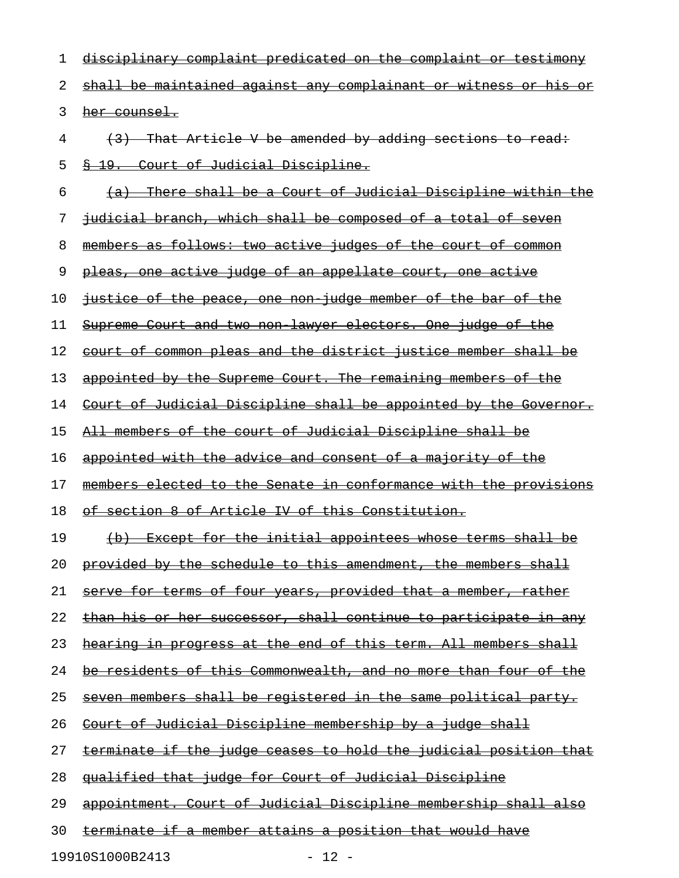| 1  | disciplinary complaint predicated on the complaint or testimony         |
|----|-------------------------------------------------------------------------|
| 2  | <u>shall be maintained against any complainant or witness or his or</u> |
| 3  | her counsel.                                                            |
| 4  | (3) That Article V be amended by adding sections to read:               |
| 5  | § 19. Court of Judicial Discipline.                                     |
| 6  | (a) There shall be a Court of Judicial Discipline within the            |
| 7  | judicial branch, which shall be composed of a total of seven            |
| 8  | members as follows: two active judges of the court of common            |
| 9  | pleas, one active judge of an appellate court, one active               |
| 10 | justice of the peace, one non judge member of the bar of the            |
| 11 | Supreme Court and two non lawyer electors. One judge of the             |
| 12 | court of common pleas and the district justice member shall be          |
| 13 | appointed by the Supreme Court. The remaining members of the            |
| 14 | Court of Judicial Discipline shall be appointed by the Governor.        |
| 15 | All members of the court of Judicial Discipline shall be                |
| 16 | appointed with the advice and consent of a majority of the              |
| 17 | members elected to the Senate in conformance with the provisions        |
| 18 | of section 8 of Article IV of this Constitution.                        |
| 19 | (b) Except for the initial appointees whose terms shall be              |
| 20 | <u>provided by the schedule to this amendment, the members shall</u>    |
| 21 | serve for terms of four years, provided that a member, rather           |
| 22 | <u>than his or her successor, shall continue to participate in any</u>  |
| 23 | hearing in progress at the end of this term. All members shall          |
| 24 | be residents of this Commonwealth, and no more than four of the         |
| 25 | <u>seven members shall be registered in the same political party.</u>   |
| 26 | <u>Court of Judicial Discipline membership by a judge shall</u>         |
| 27 | <u>terminate if the judge ceases to hold the judicial position that</u> |
| 28 | gualified that judge for Court of Judicial Discipline                   |
| 29 | appointment. Court of Judicial Discipline membership shall also         |
| 30 | <u>terminate if a member attains a position that would have</u>         |

19910S1000B2413 - 12 -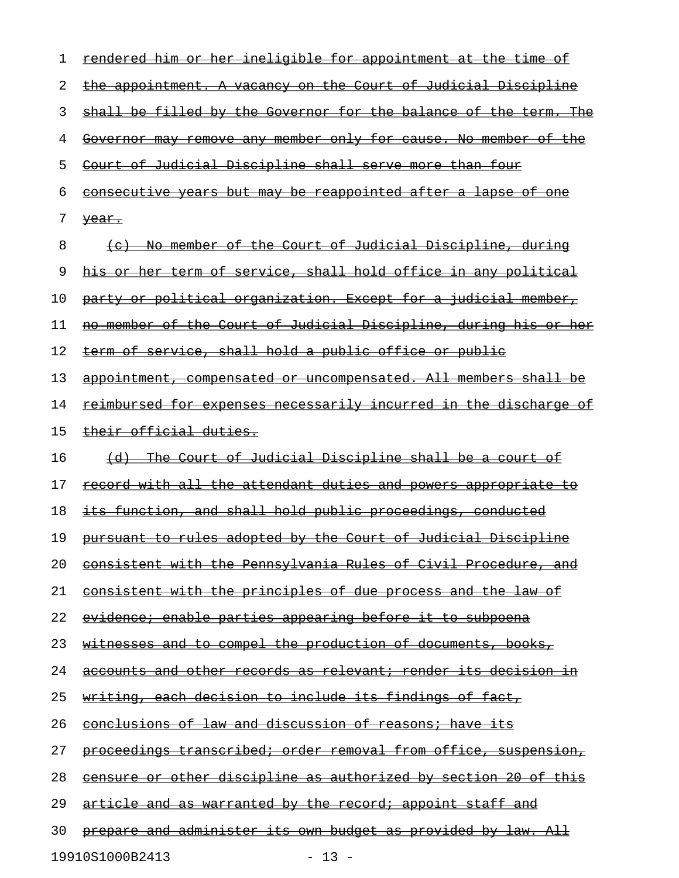| 1  | rendered him or her ineligible for appointment at the time of           |
|----|-------------------------------------------------------------------------|
| 2  | the appointment. A vacancy on the Court of Judicial Discipline          |
| 3  | shall be filled by the Governor for the balance of the term. The        |
| 4  | Governor may remove any member only for cause. No member of the         |
| 5  | Court of Judicial Discipline shall serve more than four                 |
| 6  | <u>consecutive years but may be reappointed after a lapse of one</u>    |
| 7  | <del>year.</del>                                                        |
| 8  | (c) No member of the Court of Judicial Discipline, during               |
| 9  | his or her term of service, shall hold office in any political          |
| 10 | party or political organization. Except for a judicial member,          |
| 11 | no member of the Court of Judicial Discipline, during his or her        |
| 12 | term of service, shall hold a public office or public                   |
| 13 | appointment, compensated or uncompensated. All members shall be         |
| 14 | <u>reimbursed for expenses necessarily incurred in the discharge of</u> |
| 15 | their official duties.                                                  |
| 16 | (d) The Court of Judicial Discipline shall be a court of                |
| 17 | <u>record with all the attendant duties and powers appropriate to</u>   |
| 18 | <u>its function, and shall hold public proceedings, conducted</u>       |
| 19 | pursuant to rules adopted by the Court of Judicial Discipline           |
| 20 | consistent with the Pennsylvania Rules of Civil Procedure, and          |
| 21 | <u>consistent with the principles of due process and the law of</u>     |
| 22 | evidence; enable parties appearing before it to subpoena                |
| 23 | <u>witnesses and to compel the production of documents, books,</u>      |
| 24 | accounts and other records as relevant; render its decision in          |
| 25 | <u>writing, each decision to include its findings of fact, </u>         |
| 26 | conclusions of law and discussion of reasons; have its                  |
| 27 | proceedings transcribed; order removal from office, suspension,         |
| 28 | <u>censure or other discipline as authorized by section 20 of this</u>  |
| 29 | article and as warranted by the record; appoint staff and               |
| 30 | <u>prepare and administer its own budget as provided by law. All</u>    |
|    |                                                                         |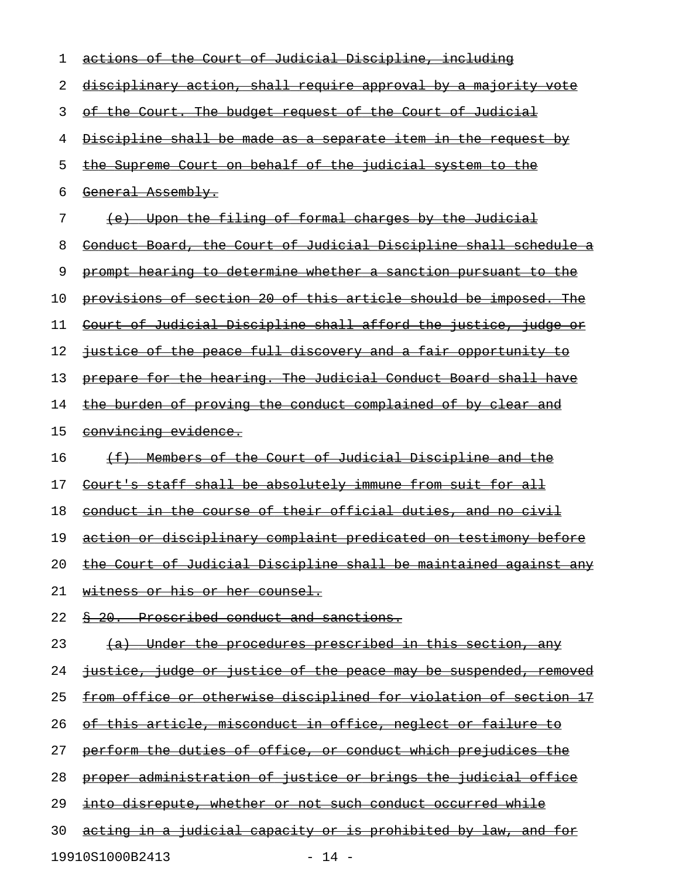| 1  | actions of the Court of Judicial Discipline, including                  |
|----|-------------------------------------------------------------------------|
| 2  | <u>disciplinary action, shall require approval by a majority vote</u>   |
| 3  | of the Court. The budget request of the Court of Judicial               |
| 4  | Discipline shall be made as a separate item in the request by           |
| 5  | the Supreme Court on behalf of the judicial system to the               |
| 6  | <del>General Assembly.</del>                                            |
| 7  | (e) Upon the filing of formal charges by the Judicial                   |
| 8  | Conduct Board, the Court of Judicial Discipline shall schedule a        |
| 9  | prompt hearing to determine whether a sanction pursuant to the          |
| 10 | provisions of section 20 of this article should be imposed. The         |
| 11 | Court of Judicial Discipline shall afford the justice, judge or         |
| 12 | justice of the peace full discovery and a fair opportunity to           |
| 13 | prepare for the hearing. The Judicial Conduct Board shall have          |
| 14 | the burden of proving the conduct complained of by clear and            |
| 15 | convincing evidence.                                                    |
| 16 | (f) Members of the Court of Judicial Discipline and the                 |
| 17 | Court's staff shall be absolutely immune from suit for all              |
| 18 | conduct in the course of their official duties, and no civil            |
| 19 | action or disciplinary complaint predicated on testimony before         |
| 20 | the Court of Judicial Discipline shall be maintained against any        |
| 21 | <u>witness or his or her counsel.</u>                                   |
| 22 | § 20. Proscribed conduct and sanctions.                                 |
| 23 | (a) Under the procedures prescribed in this section, any                |
| 24 | justice, judge or justice of the peace may be suspended, removed        |
| 25 | <u>from office or otherwise disciplined for violation of section 17</u> |
| 26 | of this article, misconduct in office, neglect or failure to            |
| 27 | perform the duties of office, or conduct which prejudices the           |
| 28 | proper administration of justice or brings the judicial office          |
| 29 | into disrepute, whether or not such conduct occurred while              |
| 30 | <u>acting in a judicial capacity or is prohibited by law, and for</u>   |
|    | 19910S1000B2413<br>$-14 -$                                              |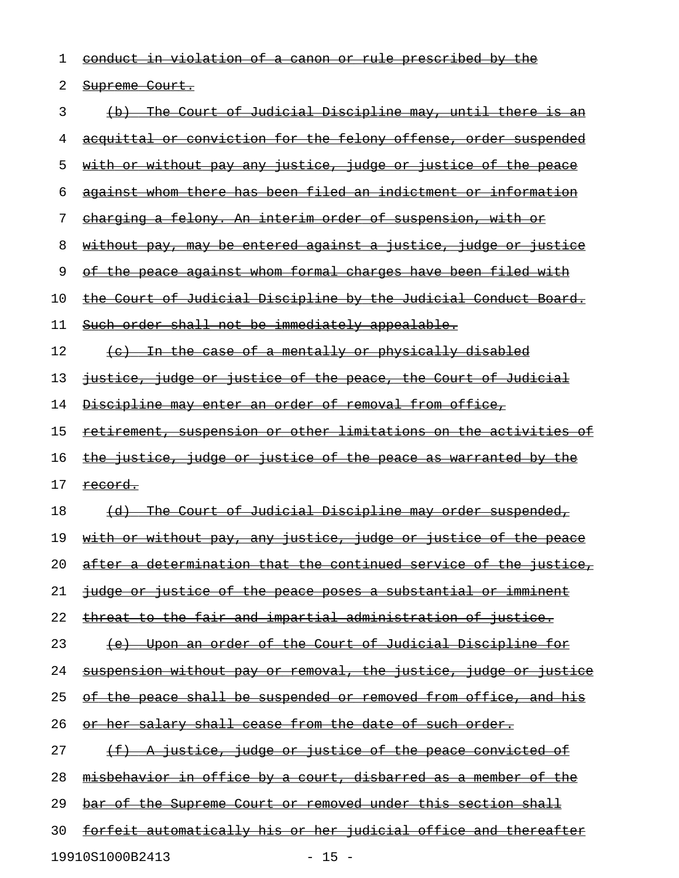| 1  | <u>conduct in violation of a canon or rule prescribed by the </u>       |
|----|-------------------------------------------------------------------------|
| 2  | Supreme Court.                                                          |
| 3  | (b) The Court of Judicial Discipline may, until there is an             |
| 4  | <u>acquittal or conviction for the felony offense, order suspended</u>  |
| 5  | <u>with or without pay any justice, judge or justice of the peace</u>   |
| 6  | against whom there has been filed an indictment or information          |
| 7  | <u>charging a felony. An interim order of suspension, with or</u>       |
| 8  | <u>without pay, may be entered against a justice, judge or justice</u>  |
| 9  | of the peace against whom formal charges have been filed with           |
| 10 | the Court of Judicial Discipline by the Judicial Conduct Board.         |
| 11 | Such order shall not be immediately appealable.                         |
| 12 | (c) In the case of a mentally or physically disabled                    |
| 13 | <u>justice, judge or justice of the peace, the Court of Judicial</u>    |
| 14 | <u>Discipline may enter an order of removal from office,</u>            |
| 15 | <u>retirement, suspension or other limitations on the activities of</u> |
| 16 | <u>the justice, judge or justice of the peace as warranted by the </u>  |
| 17 | <u>record.</u>                                                          |
| 18 | (d) The Court of Judicial Discipline may order suspended,               |
| 19 | <u>with or without pay, any justice, judge or justice of the peace</u>  |
| 20 | after a determination that the continued service of the justice,        |
| 21 | <u>judge or justice of the peace poses a substantial or imminent</u>    |
| 22 | <u>threat to the fair and impartial administration of justice.</u>      |
| 23 | <u>(e) Upon an order of the Court of Judicial Discipline for</u>        |
| 24 | <u>suspension without pay or removal, the justice, judge or justice</u> |
| 25 | <u>of the peace shall be suspended or removed from office, and his</u>  |
| 26 | <u>or her salary shall cease from the date of such order.</u>           |
| 27 | (f) A justice, judge or justice of the peace convicted of               |
| 28 | <u>misbehavior in office by a court, disbarred as a member of the </u>  |
| 29 | <u>bar of the Supreme Court or removed under this section shall</u>     |
| 30 | <u>forfeit automatically his or her judicial office and thereafter</u>  |
|    |                                                                         |

19910S1000B2413 - 15 -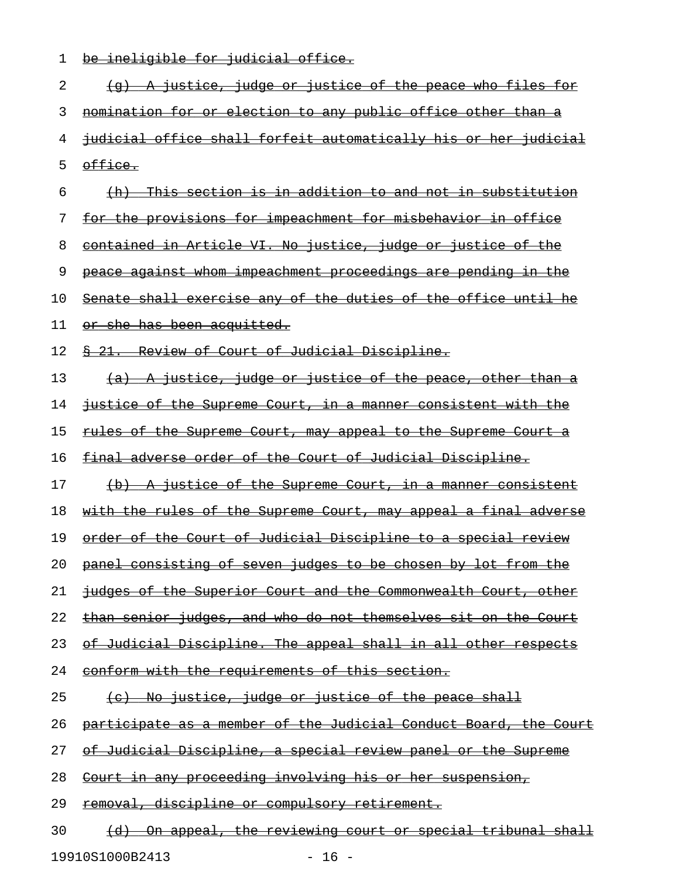|  |  | ho inoligible for judicial office  |  |
|--|--|------------------------------------|--|
|  |  | DE THETTATDIE TOT JUNICIAL OITICE. |  |

| 2  | (g) A justice, judge or justice of the peace who files for           |
|----|----------------------------------------------------------------------|
| 3  | nomination for or election to any public office other than a         |
| 4  | judicial office shall forfeit automatically his or her judicial      |
| 5  | office.                                                              |
| 6  | (h) This section is in addition to and not in substitution           |
| 7  | for the provisions for impeachment for misbehavior in office         |
| 8  | contained in Article VI. No justice, judge or justice of the         |
| 9  | peace against whom impeachment proceedings are pending in the        |
| 10 | Senate shall exercise any of the duties of the office until he       |
| 11 | <del>or she has been acquitted.</del>                                |
| 12 | \$ 21. Review of Court of Judicial Discipline.                       |
| 13 | (a) A justice, judge or justice of the peace, other than a           |
| 14 | justice of the Supreme Court, in a manner consistent with the        |
| 15 | <u>rules of the Supreme Court, may appeal to the Supreme Court a</u> |
| 16 | final adverse order of the Court of Judicial Discipline.             |
| 17 | (b) A justice of the Supreme Court, in a manner consistent           |
| 18 | with the rules of the Supreme Court, may appeal a final adverse      |
| 19 | order of the Court of Judicial Discipline to a special review        |
| 20 | panel consisting of seven judges to be chosen by lot from the        |
| 21 | judges of the Superior Court and the Commonwealth Court, other       |
| 22 | than senior judges, and who do not themselves sit on the Court       |
| 23 | of Judicial Discipline. The appeal shall in all other respects       |
| 24 | conform with the requirements of this section.                       |
| 25 | (c) No justice, judge or justice of the peace shall                  |
| 26 | participate as a member of the Judicial Conduct Board, the Court     |
| 27 | <u>of Judicial Discipline, a special review panel or the Supreme</u> |
| 28 | Court in any proceeding involving his or her suspension,             |
| 29 | <u>removal, discipline or compulsory retirement.</u>                 |
| 30 | On appeal, the reviewing court or special tribunal shall             |

19910S1000B2413 - 16 -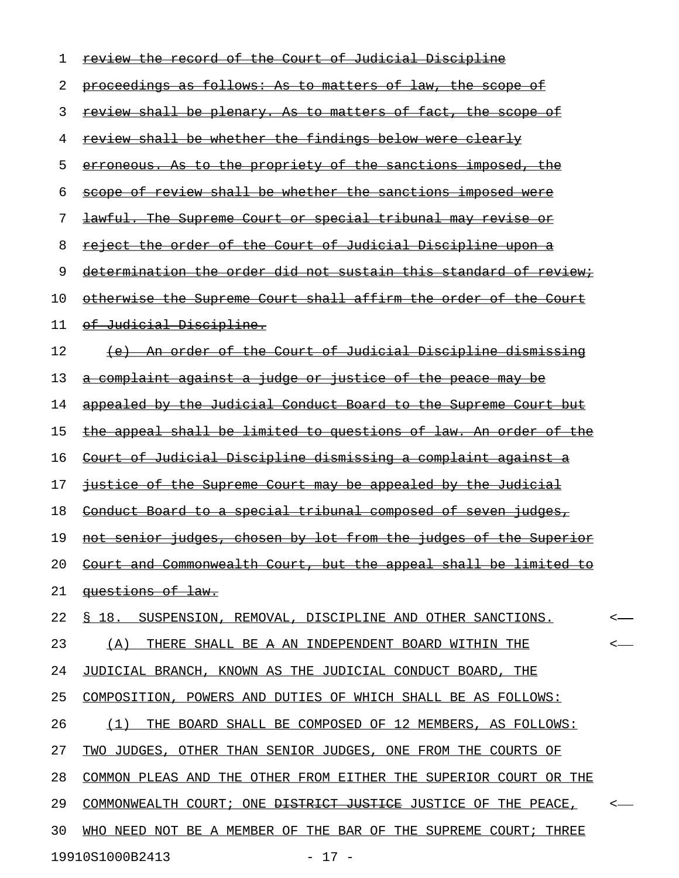| 1  | <u>review the record of the Court of Judicial Discipline</u>              |         |
|----|---------------------------------------------------------------------------|---------|
| 2  | proceedings as follows: As to matters of law, the scope of                |         |
| 3  | <u>review shall be plenary. As to matters of fact, the scope of</u>       |         |
| 4  | review shall be whether the findings below were clearly                   |         |
| 5  | erroneous. As to the propriety of the sanctions imposed, the              |         |
| 6  | scope of review shall be whether the sanctions imposed were               |         |
| 7  | lawful. The Supreme Court or special tribunal may revise or               |         |
| 8  | reject the order of the Court of Judicial Discipline upon a               |         |
| 9  | determination the order did not sustain this standard of review.          |         |
| 10 | otherwise the Supreme Court shall affirm the order of the Court           |         |
| 11 | of Judicial Discipline.                                                   |         |
| 12 | (e) An order of the Court of Judicial Discipline dismissing               |         |
| 13 | a complaint against a judge or justice of the peace may be                |         |
| 14 | appealed by the Judicial Conduct Board to the Supreme Court but           |         |
| 15 | the appeal shall be limited to questions of law. An order of the          |         |
| 16 | Court of Judicial Discipline dismissing a complaint against a             |         |
| 17 | justice of the Supreme Court may be appealed by the Judicial              |         |
| 18 | Conduct Board to a special tribunal composed of seven judges,             |         |
| 19 | not senior judges, chosen by lot from the judges of the Superior          |         |
| 20 | Court and Commonwealth Court, but the appeal shall be limited to          |         |
| 21 | <del>questions of law.</del>                                              |         |
| 22 | S 18.<br>SUSPENSION, REMOVAL, DISCIPLINE AND OTHER SANCTIONS.             | $\,<$   |
| 23 | (A)<br>THERE SHALL BE A AN INDEPENDENT BOARD WITHIN THE                   | $\,<\,$ |
| 24 | JUDICIAL BRANCH, KNOWN AS THE JUDICIAL CONDUCT BOARD, THE                 |         |
| 25 | COMPOSITION, POWERS AND DUTIES OF WHICH SHALL BE AS FOLLOWS:              |         |
| 26 | BOARD SHALL BE COMPOSED OF 12 MEMBERS, AS FOLLOWS:<br>(1)<br>THE          |         |
| 27 | TWO JUDGES, OTHER THAN SENIOR JUDGES, ONE FROM THE COURTS OF              |         |
| 28 | COMMON PLEAS AND THE OTHER FROM EITHER THE SUPERIOR COURT OR THE          |         |
| 29 | COMMONWEALTH COURT; ONE <del>DISTRICT JUSTICE</del> JUSTICE OF THE PEACE, | $\,<$   |
| 30 | WHO NEED NOT BE A MEMBER OF THE BAR OF THE SUPREME COURT; THREE           |         |
|    | 19910S1000B2413<br>$-17 -$                                                |         |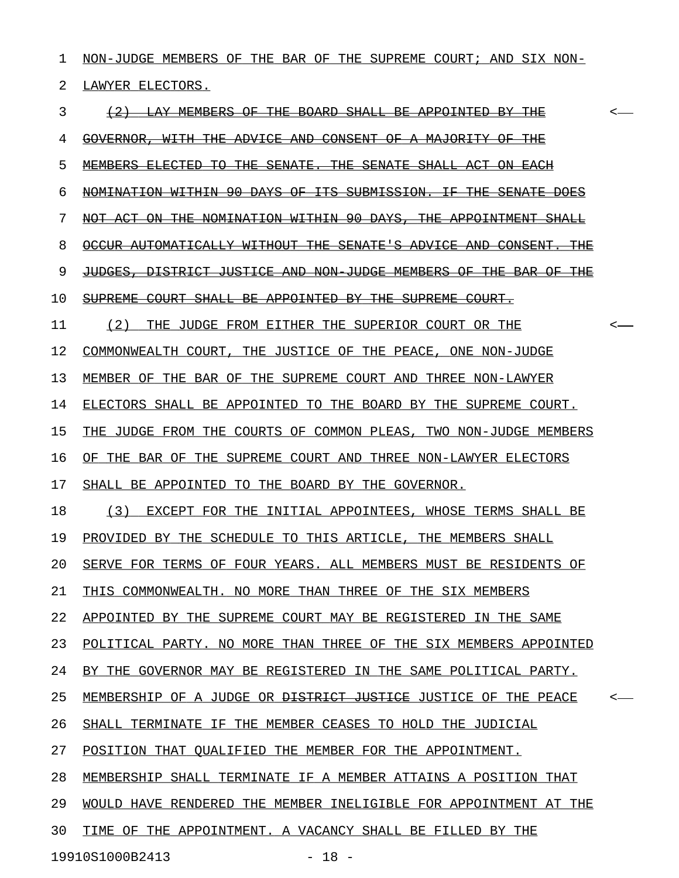1 NON-JUDGE MEMBERS OF THE BAR OF THE SUPREME COURT; AND SIX NON-2 LAWYER ELECTORS.

3 (2) LAY MEMBERS OF THE BOARD SHALL BE APPOINTED BY THE  $\sim$ 4 GOVERNOR, WITH THE ADVICE AND CONSENT OF A MAJORITY OF THE 5 MEMBERS ELECTED TO THE SENATE. THE SENATE SHALL ACT ON EACH 6 NOMINATION WITHIN 90 DAYS OF ITS SUBMISSION. IF THE SENATE DOES 7 NOT ACT ON THE NOMINATION WITHIN 90 DAYS, THE APPOINTMENT SHALL 8 OCCUR AUTOMATICALLY WITHOUT THE SENATE'S ADVICE AND CONSENT. THE 9 JUDGES, DISTRICT JUSTICE AND NON-JUDGE MEMBERS OF THE BAR OF THE 10 SUPREME COURT SHALL BE APPOINTED BY THE SUPREME COURT. 11 (2) THE JUDGE FROM EITHER THE SUPERIOR COURT OR THE  $\sim$ 12 COMMONWEALTH COURT, THE JUSTICE OF THE PEACE, ONE NON-JUDGE 13 MEMBER OF THE BAR OF THE SUPREME COURT AND THREE NON-LAWYER 14 ELECTORS SHALL BE APPOINTED TO THE BOARD BY THE SUPREME COURT. 15 THE JUDGE FROM THE COURTS OF COMMON PLEAS, TWO NON-JUDGE MEMBERS 16 OF THE BAR OF THE SUPREME COURT AND THREE NON-LAWYER ELECTORS 17 SHALL BE APPOINTED TO THE BOARD BY THE GOVERNOR. 18 (3) EXCEPT FOR THE INITIAL APPOINTEES, WHOSE TERMS SHALL BE 19 PROVIDED BY THE SCHEDULE TO THIS ARTICLE, THE MEMBERS SHALL 20 SERVE FOR TERMS OF FOUR YEARS. ALL MEMBERS MUST BE RESIDENTS OF 21 THIS COMMONWEALTH. NO MORE THAN THREE OF THE SIX MEMBERS 22 APPOINTED BY THE SUPREME COURT MAY BE REGISTERED IN THE SAME 23 POLITICAL PARTY. NO MORE THAN THREE OF THE SIX MEMBERS APPOINTED 24 BY THE GOVERNOR MAY BE REGISTERED IN THE SAME POLITICAL PARTY. 25 MEMBERSHIP OF A JUDGE OR <del>DISTRICT JUSTICE</del> JUSTICE OF THE PEACE 26 SHALL TERMINATE IF THE MEMBER CEASES TO HOLD THE JUDICIAL 27 POSITION THAT QUALIFIED THE MEMBER FOR THE APPOINTMENT. 28 MEMBERSHIP SHALL TERMINATE IF A MEMBER ATTAINS A POSITION THAT 29 WOULD HAVE RENDERED THE MEMBER INELIGIBLE FOR APPOINTMENT AT THE 30 TIME OF THE APPOINTMENT. A VACANCY SHALL BE FILLED BY THE 19910S1000B2413 - 18 -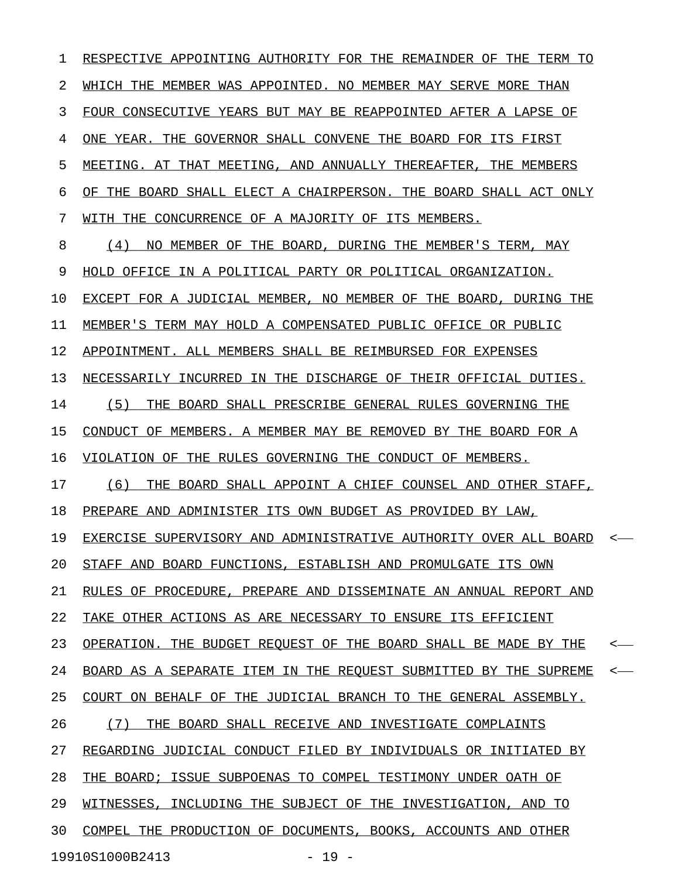1 RESPECTIVE APPOINTING AUTHORITY FOR THE REMAINDER OF THE TERM TO 2 WHICH THE MEMBER WAS APPOINTED. NO MEMBER MAY SERVE MORE THAN 3 FOUR CONSECUTIVE YEARS BUT MAY BE REAPPOINTED AFTER A LAPSE OF 4 ONE YEAR. THE GOVERNOR SHALL CONVENE THE BOARD FOR ITS FIRST 5 MEETING. AT THAT MEETING, AND ANNUALLY THEREAFTER, THE MEMBERS 6 OF THE BOARD SHALL ELECT A CHAIRPERSON. THE BOARD SHALL ACT ONLY 7 WITH THE CONCURRENCE OF A MAJORITY OF ITS MEMBERS. 8 (4) NO MEMBER OF THE BOARD, DURING THE MEMBER'S TERM, MAY 9 HOLD OFFICE IN A POLITICAL PARTY OR POLITICAL ORGANIZATION. 10 EXCEPT FOR A JUDICIAL MEMBER, NO MEMBER OF THE BOARD, DURING THE 11 MEMBER'S TERM MAY HOLD A COMPENSATED PUBLIC OFFICE OR PUBLIC 12 APPOINTMENT. ALL MEMBERS SHALL BE REIMBURSED FOR EXPENSES 13 NECESSARILY INCURRED IN THE DISCHARGE OF THEIR OFFICIAL DUTIES. 14 (5) THE BOARD SHALL PRESCRIBE GENERAL RULES GOVERNING THE 15 CONDUCT OF MEMBERS. A MEMBER MAY BE REMOVED BY THE BOARD FOR A 16 VIOLATION OF THE RULES GOVERNING THE CONDUCT OF MEMBERS. 17 (6) THE BOARD SHALL APPOINT A CHIEF COUNSEL AND OTHER STAFF, 18 PREPARE AND ADMINISTER ITS OWN BUDGET AS PROVIDED BY LAW, 19 EXERCISE SUPERVISORY AND ADMINISTRATIVE AUTHORITY OVER ALL BOARD <-20 STAFF AND BOARD FUNCTIONS, ESTABLISH AND PROMULGATE ITS OWN 21 RULES OF PROCEDURE, PREPARE AND DISSEMINATE AN ANNUAL REPORT AND 22 TAKE OTHER ACTIONS AS ARE NECESSARY TO ENSURE ITS EFFICIENT 23 OPERATION. THE BUDGET REQUEST OF THE BOARD SHALL BE MADE BY THE <-24 BOARD AS A SEPARATE ITEM IN THE REQUEST SUBMITTED BY THE SUPREME <-25 COURT ON BEHALF OF THE JUDICIAL BRANCH TO THE GENERAL ASSEMBLY. 26  $(7)$  THE BOARD SHALL RECEIVE AND INVESTIGATE COMPLAINTS 27 REGARDING JUDICIAL CONDUCT FILED BY INDIVIDUALS OR INITIATED BY 28 THE BOARD; ISSUE SUBPOENAS TO COMPEL TESTIMONY UNDER OATH OF 29 WITNESSES, INCLUDING THE SUBJECT OF THE INVESTIGATION, AND TO 30 COMPEL THE PRODUCTION OF DOCUMENTS, BOOKS, ACCOUNTS AND OTHER 19910S1000B2413 - 19 -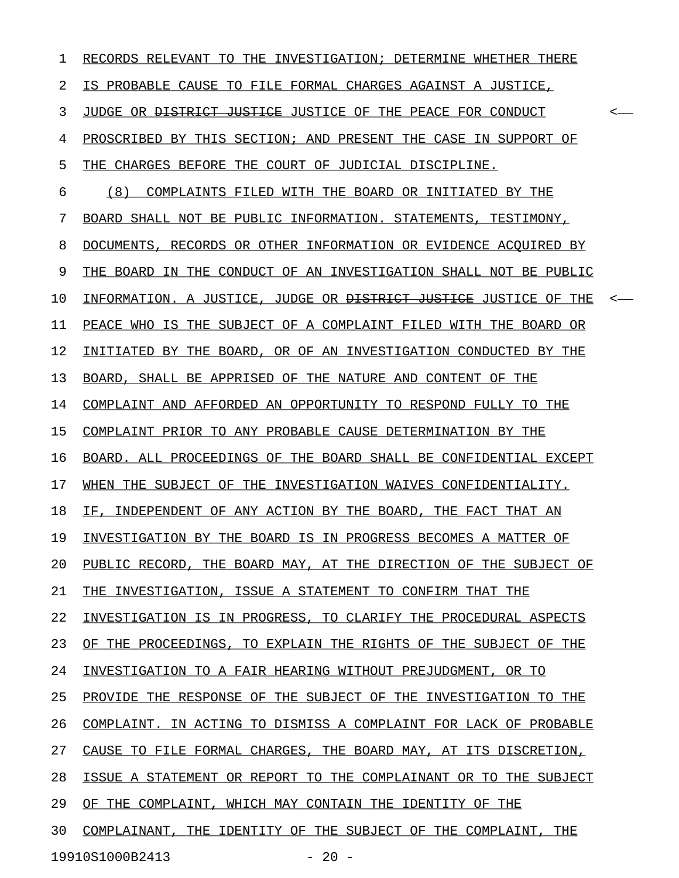1 RECORDS RELEVANT TO THE INVESTIGATION; DETERMINE WHETHER THERE 2 IS PROBABLE CAUSE TO FILE FORMAL CHARGES AGAINST A JUSTICE, 3 JUDGE OR <del>DISTRICT JUSTICE</del> JUSTICE OF THE PEACE FOR CONDUCT  $\sim$ 4 PROSCRIBED BY THIS SECTION; AND PRESENT THE CASE IN SUPPORT OF 5 THE CHARGES BEFORE THE COURT OF JUDICIAL DISCIPLINE. 6 (8) COMPLAINTS FILED WITH THE BOARD OR INITIATED BY THE 7 BOARD SHALL NOT BE PUBLIC INFORMATION. STATEMENTS, TESTIMONY, 8 DOCUMENTS, RECORDS OR OTHER INFORMATION OR EVIDENCE ACOUIRED BY 9 THE BOARD IN THE CONDUCT OF AN INVESTIGATION SHALL NOT BE PUBLIC 10 INFORMATION. A JUSTICE, JUDGE OR <del>DISTRICT JUSTICE</del> JUSTICE OF THE <-11 PEACE WHO IS THE SUBJECT OF A COMPLAINT FILED WITH THE BOARD OR 12 INITIATED BY THE BOARD, OR OF AN INVESTIGATION CONDUCTED BY THE 13 BOARD, SHALL BE APPRISED OF THE NATURE AND CONTENT OF THE 14 COMPLAINT AND AFFORDED AN OPPORTUNITY TO RESPOND FULLY TO THE 15 COMPLAINT PRIOR TO ANY PROBABLE CAUSE DETERMINATION BY THE 16 BOARD. ALL PROCEEDINGS OF THE BOARD SHALL BE CONFIDENTIAL EXCEPT 17 WHEN THE SUBJECT OF THE INVESTIGATION WAIVES CONFIDENTIALITY. 18 IF, INDEPENDENT OF ANY ACTION BY THE BOARD, THE FACT THAT AN 19 INVESTIGATION BY THE BOARD IS IN PROGRESS BECOMES A MATTER OF 20 PUBLIC RECORD, THE BOARD MAY, AT THE DIRECTION OF THE SUBJECT OF 21 THE INVESTIGATION, ISSUE A STATEMENT TO CONFIRM THAT THE 22 INVESTIGATION IS IN PROGRESS, TO CLARIFY THE PROCEDURAL ASPECTS 23 OF THE PROCEEDINGS, TO EXPLAIN THE RIGHTS OF THE SUBJECT OF THE 24 INVESTIGATION TO A FAIR HEARING WITHOUT PREJUDGMENT, OR TO 25 PROVIDE THE RESPONSE OF THE SUBJECT OF THE INVESTIGATION TO THE 26 COMPLAINT. IN ACTING TO DISMISS A COMPLAINT FOR LACK OF PROBABLE 27 CAUSE TO FILE FORMAL CHARGES, THE BOARD MAY, AT ITS DISCRETION, 28 ISSUE A STATEMENT OR REPORT TO THE COMPLAINANT OR TO THE SUBJECT 29 OF THE COMPLAINT, WHICH MAY CONTAIN THE IDENTITY OF THE 30 COMPLAINANT, THE IDENTITY OF THE SUBJECT OF THE COMPLAINT, THE 19910S1000B2413 - 20 -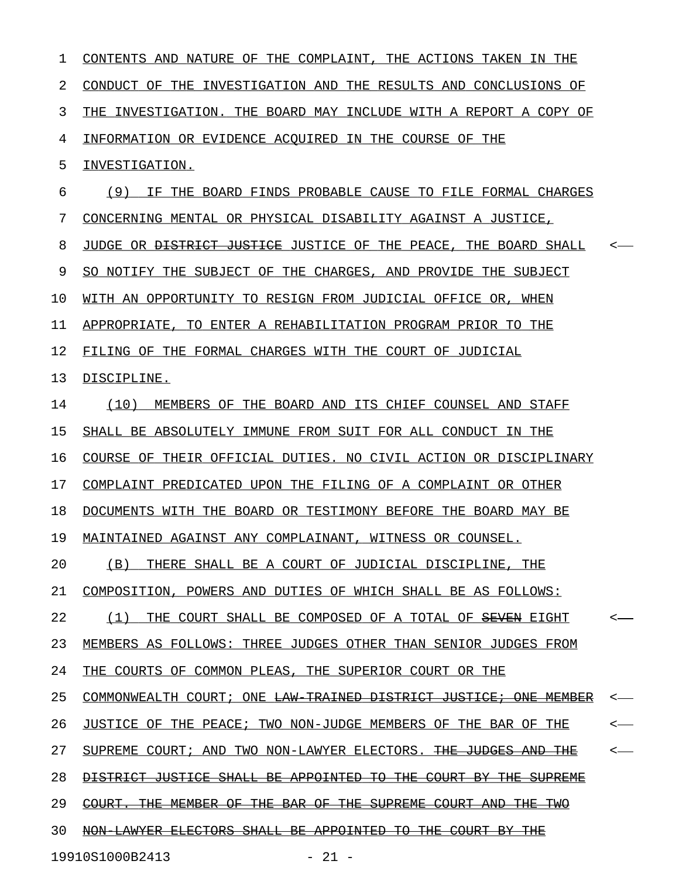| 1  | CONTENTS AND NATURE OF THE COMPLAINT,<br>THE ACTIONS TAKEN IN THE           |                          |
|----|-----------------------------------------------------------------------------|--------------------------|
| 2  | CONDUCT OF THE INVESTIGATION AND THE RESULTS AND CONCLUSIONS OF             |                          |
| 3  | INVESTIGATION. THE BOARD MAY INCLUDE WITH A REPORT A COPY OF<br>THE.        |                          |
| 4  | INFORMATION OR EVIDENCE ACOUIRED IN THE COURSE OF THE                       |                          |
| 5  | INVESTIGATION.                                                              |                          |
| 6  | (9)<br>IF THE BOARD FINDS PROBABLE CAUSE TO FILE FORMAL CHARGES             |                          |
| 7  | CONCERNING MENTAL OR PHYSICAL DISABILITY AGAINST A JUSTICE,                 |                          |
| 8  | JUDGE OR <del>DISTRICT JUSTICE</del> JUSTICE OF THE PEACE, THE BOARD SHALL  |                          |
| 9  | SO NOTIFY THE SUBJECT OF THE CHARGES, AND PROVIDE THE SUBJECT               |                          |
| 10 | WITH AN OPPORTUNITY TO RESIGN FROM JUDICIAL OFFICE OR, WHEN                 |                          |
| 11 | APPROPRIATE, TO ENTER A REHABILITATION PROGRAM PRIOR TO THE                 |                          |
| 12 | FILING OF THE FORMAL CHARGES WITH THE COURT OF JUDICIAL                     |                          |
| 13 | DISCIPLINE.                                                                 |                          |
| 14 | (10)<br>MEMBERS OF THE BOARD AND ITS CHIEF COUNSEL AND STAFF                |                          |
| 15 | SHALL BE ABSOLUTELY IMMUNE FROM SUIT FOR ALL CONDUCT IN THE                 |                          |
| 16 | COURSE OF THEIR OFFICIAL DUTIES. NO CIVIL ACTION OR DISCIPLINARY            |                          |
| 17 | COMPLAINT PREDICATED UPON THE FILING OF A COMPLAINT OR OTHER                |                          |
| 18 | DOCUMENTS WITH THE BOARD OR TESTIMONY BEFORE THE BOARD MAY BE               |                          |
| 19 | MAINTAINED AGAINST ANY COMPLAINANT, WITNESS OR COUNSEL.                     |                          |
| 20 | THERE SHALL BE A COURT OF JUDICIAL DISCIPLINE, THE<br>(B)                   |                          |
| 21 | COMPOSITION, POWERS AND DUTIES OF WHICH SHALL BE AS FOLLOWS:                |                          |
| 22 | THE COURT SHALL BE COMPOSED OF A TOTAL OF SEVEN EIGHT<br>(1)                | $\overline{\phantom{a}}$ |
| 23 | MEMBERS AS FOLLOWS: THREE JUDGES OTHER THAN SENIOR JUDGES FROM              |                          |
| 24 | THE COURTS OF COMMON PLEAS, THE SUPERIOR COURT OR THE                       |                          |
| 25 | COMMONWEALTH COURT; ONE <del>LAW TRAINED DISTRICT JUSTICE; ONE MEMBER</del> |                          |
| 26 | JUSTICE OF THE PEACE; TWO NON-JUDGE MEMBERS OF THE BAR OF THE               |                          |
| 27 | SUPREME COURT; AND TWO NON-LAWYER ELECTORS. THE JUDGES AND THE              |                          |
| 28 | DISTRICT JUSTICE SHALL BE APPOINTED TO THE COURT BY THE SUPREME             |                          |
| 29 | COURT. THE MEMBER OF THE BAR OF THE SUPREME COURT AND THE TWO               |                          |
| 30 | NON LAWYER ELECTORS SHALL BE APPOINTED TO THE COURT BY THE                  |                          |
|    | 19910S1000B2413<br>$-21 -$                                                  |                          |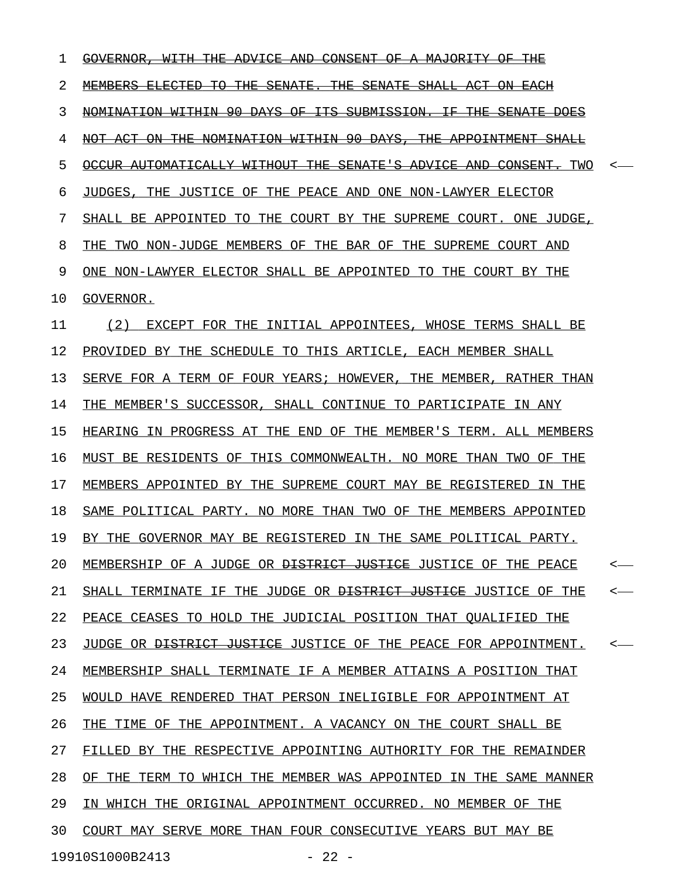| 1  | <del>MAJORITY</del><br><del>GOVERNOR</del><br><del>WITH</del><br>ADVICE<br>AND<br><del>CONSENT</del><br>ΘF<br>Α<br>ŦĦE                                                      |              |
|----|-----------------------------------------------------------------------------------------------------------------------------------------------------------------------------|--------------|
| 2  | <u>MEMBERS</u><br><del>ELECTED</del><br>Ŧθ<br><del>THE</del><br><del>SENATE.</del><br><del>THE</del><br><del>SENATE</del><br><del>SHALL</del><br>-ACT<br><del>ON EACH</del> |              |
| 3  | -90-<br>NOMINATION WITHIN<br>-DAYS-<br>ΘF<br><del>ITS</del><br>SUBMISSION.<br><del>THE</del><br>ŦΕ<br><del>SENATE</del><br><del>DOES</del>                                  |              |
| 4  | NOMINATION WITHIN 90 DAYS,<br>NOT ACT<br><del>ON THE</del><br><del>THE</del><br><del>APPOINTMENT</del><br><del>SHALL</del>                                                  |              |
| 5  | <del>OCCUR AUTOMATICALLY</del><br><del>THE</del><br><del>SENATE'S</del><br><del>ADVICE AND</del><br><del>CONSENT.</del><br>TWO<br><del>WITHOUT</del>                        |              |
| 6  | JUSTICE OF THE PEACE AND ONE NON-LAWYER ELECTOR<br>JUDGES.<br>THE                                                                                                           |              |
| 7  | SHALL BE APPOINTED TO THE COURT BY THE SUPREME COURT.<br>ONE JUDGE,                                                                                                         |              |
| 8  | TWO NON-JUDGE MEMBERS OF THE BAR OF THE SUPREME<br>THE<br>COURT AND                                                                                                         |              |
| 9  | ONE NON-LAWYER ELECTOR SHALL BE APPOINTED TO THE COURT BY THE                                                                                                               |              |
| 10 | GOVERNOR.                                                                                                                                                                   |              |
| 11 | (2)<br>INITIAL APPOINTEES, WHOSE TERMS SHALL BE<br>EXCEPT FOR THE                                                                                                           |              |
| 12 | PROVIDED BY THE SCHEDULE TO THIS ARTICLE,<br>EACH MEMBER SHALL                                                                                                              |              |
| 13 | SERVE FOR A TERM OF FOUR YEARS; HOWEVER,<br>THE MEMBER,<br>RATHER THAN                                                                                                      |              |
| 14 | MEMBER'S SUCCESSOR, SHALL CONTINUE TO PARTICIPATE<br>THE<br>IN ANY                                                                                                          |              |
| 15 | HEARING IN PROGRESS AT THE END OF THE MEMBER'S TERM. ALL MEMBERS                                                                                                            |              |
| 16 | MUST BE RESIDENTS OF THIS COMMONWEALTH. NO MORE THAN TWO<br>THE<br>OF                                                                                                       |              |
| 17 | MEMBERS APPOINTED BY THE SUPREME COURT MAY BE REGISTERED<br>THE<br>IN.                                                                                                      |              |
| 18 | SAME POLITICAL PARTY. NO MORE THAN TWO OF THE MEMBERS APPOINTED                                                                                                             |              |
| 19 | BY THE GOVERNOR MAY BE REGISTERED IN THE SAME POLITICAL PARTY.                                                                                                              |              |
| 20 | MEMBERSHIP OF A JUDGE OR <del>DISTRICT JUSTICE</del> JUSTICE OF THE PEACE                                                                                                   | $\leftarrow$ |
| 21 | SHALL TERMINATE IF THE JUDGE OR <del>DISTRICT JUSTICE</del> JUSTICE OF THE                                                                                                  | $\leftarrow$ |
| 22 | PEACE CEASES TO HOLD THE JUDICIAL POSITION THAT QUALIFIED THE                                                                                                               |              |
| 23 | JUDGE OR <del>DISTRICT JUSTICE</del> JUSTICE OF THE PEACE FOR APPOINTMENT.                                                                                                  | $\sim$       |
| 24 | MEMBERSHIP SHALL TERMINATE IF A MEMBER ATTAINS A POSITION THAT                                                                                                              |              |
| 25 | WOULD HAVE RENDERED THAT PERSON INELIGIBLE FOR APPOINTMENT AT                                                                                                               |              |
| 26 | THE TIME OF THE APPOINTMENT. A VACANCY ON THE COURT SHALL BE                                                                                                                |              |
| 27 | FILLED BY THE RESPECTIVE APPOINTING AUTHORITY FOR THE REMAINDER                                                                                                             |              |
| 28 | OF THE TERM TO WHICH THE MEMBER WAS APPOINTED IN THE SAME MANNER                                                                                                            |              |
| 29 | IN WHICH THE ORIGINAL APPOINTMENT OCCURRED. NO MEMBER OF THE                                                                                                                |              |
| 30 | COURT MAY SERVE MORE THAN FOUR CONSECUTIVE YEARS BUT MAY BE                                                                                                                 |              |
|    | 19910S1000B2413<br>$-22 -$                                                                                                                                                  |              |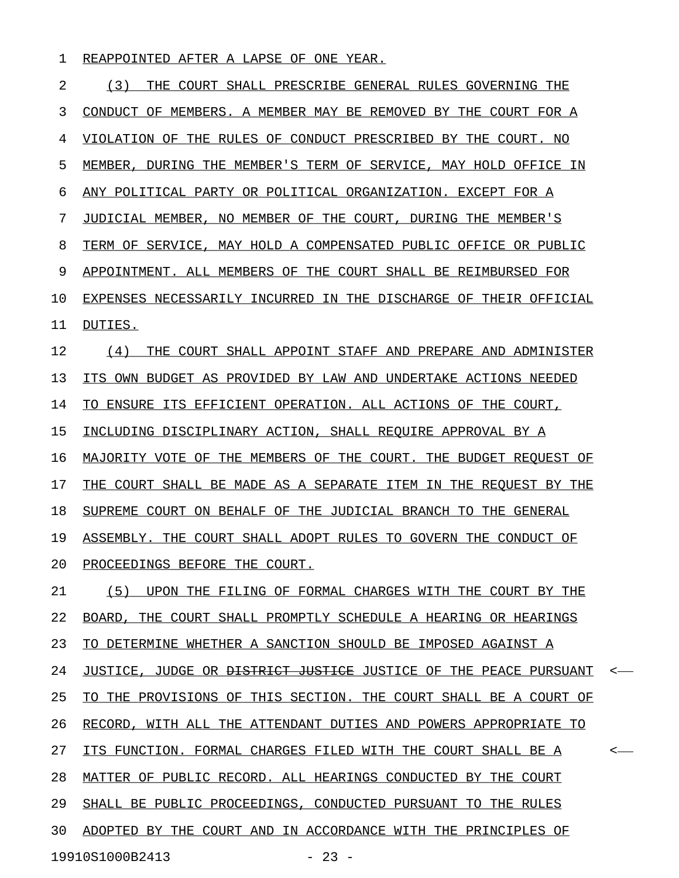## 1 REAPPOINTED AFTER A LAPSE OF ONE YEAR.

| 2  | (3)<br>THE COURT SHALL PRESCRIBE GENERAL RULES GOVERNING THE                           |
|----|----------------------------------------------------------------------------------------|
| 3  | CONDUCT OF MEMBERS. A MEMBER MAY BE REMOVED BY THE COURT FOR A                         |
| 4  | VIOLATION OF THE RULES OF CONDUCT PRESCRIBED BY THE COURT. NO                          |
| 5  | MEMBER, DURING THE MEMBER'S TERM OF SERVICE, MAY HOLD OFFICE IN                        |
| 6  | ANY POLITICAL PARTY OR POLITICAL ORGANIZATION. EXCEPT FOR A                            |
| 7  | JUDICIAL MEMBER, NO MEMBER OF THE COURT, DURING THE MEMBER'S                           |
| 8  | TERM OF SERVICE, MAY HOLD A COMPENSATED PUBLIC OFFICE OR PUBLIC                        |
| 9  | APPOINTMENT. ALL MEMBERS OF THE COURT SHALL BE REIMBURSED FOR                          |
| 10 | EXPENSES NECESSARILY INCURRED IN THE DISCHARGE OF THEIR OFFICIAL                       |
| 11 | DUTIES.                                                                                |
| 12 | (4)<br>THE COURT SHALL APPOINT STAFF AND PREPARE AND ADMINISTER                        |
| 13 | ITS OWN BUDGET AS PROVIDED BY LAW AND UNDERTAKE ACTIONS NEEDED                         |
| 14 | TO ENSURE ITS EFFICIENT OPERATION. ALL ACTIONS OF THE COURT,                           |
| 15 | INCLUDING DISCIPLINARY ACTION, SHALL REQUIRE APPROVAL BY A                             |
| 16 | MAJORITY VOTE OF THE MEMBERS OF THE COURT. THE BUDGET REOUEST OF                       |
| 17 | THE COURT SHALL BE MADE AS A SEPARATE ITEM IN THE REOUEST BY THE                       |
| 18 | SUPREME COURT ON BEHALF OF THE JUDICIAL BRANCH TO THE GENERAL                          |
| 19 | ASSEMBLY. THE COURT SHALL ADOPT RULES TO GOVERN THE CONDUCT OF                         |
| 20 | PROCEEDINGS BEFORE THE COURT.                                                          |
| 21 | (5) UPON THE FILING OF FORMAL CHARGES WITH THE COURT BY THE                            |
| 22 | BOARD, THE COURT SHALL PROMPTLY SCHEDULE A HEARING OR HEARINGS                         |
| 23 | TO DETERMINE WHETHER A SANCTION SHOULD BE IMPOSED AGAINST A                            |
| 24 | JUSTICE, JUDGE OR <del>DISTRICT JUSTICE</del> JUSTICE OF THE PEACE PURSUANT<br>$\prec$ |
| 25 | TO THE PROVISIONS OF THIS SECTION. THE COURT SHALL BE A COURT OF                       |
| 26 | RECORD, WITH ALL THE ATTENDANT DUTIES AND POWERS APPROPRIATE TO                        |
| 27 | ITS FUNCTION. FORMAL CHARGES FILED WITH THE COURT SHALL BE A<br>$\,<\,$                |
| 28 | MATTER OF PUBLIC RECORD. ALL HEARINGS CONDUCTED BY THE COURT                           |
| 29 | SHALL BE PUBLIC PROCEEDINGS, CONDUCTED PURSUANT TO THE RULES                           |
| 30 | ADOPTED BY THE COURT AND IN ACCORDANCE WITH THE PRINCIPLES OF                          |
|    | 19910S1000B2413<br>$-23 -$                                                             |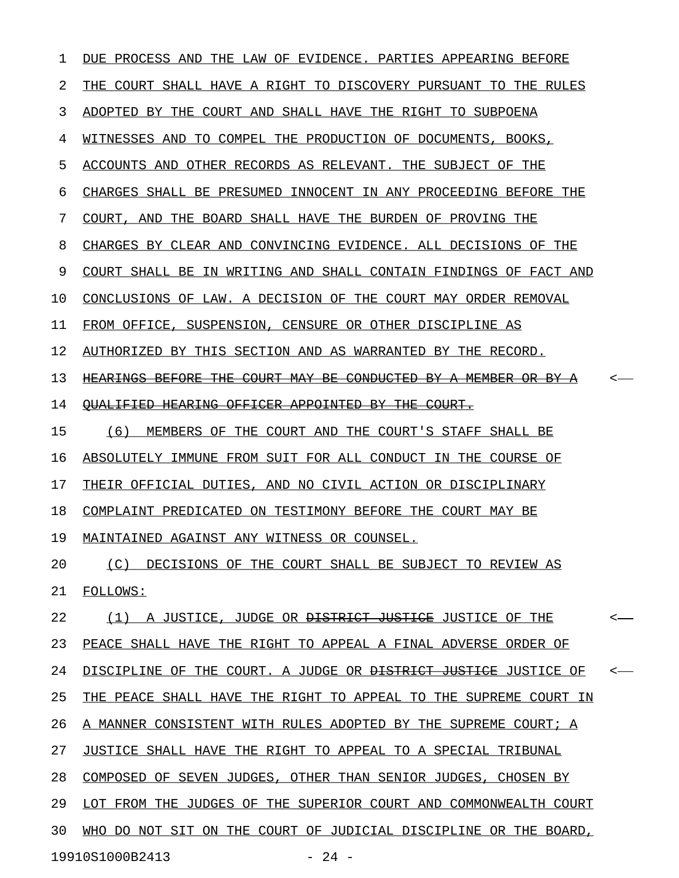| 1  | DUE PROCESS AND THE LAW OF EVIDENCE. PARTIES APPEARING BEFORE              |                  |
|----|----------------------------------------------------------------------------|------------------|
| 2  | THE COURT SHALL HAVE A RIGHT TO DISCOVERY PURSUANT TO THE RULES            |                  |
| 3  | ADOPTED BY THE COURT AND SHALL HAVE THE RIGHT TO SUBPOENA                  |                  |
| 4  | WITNESSES AND TO COMPEL THE PRODUCTION OF DOCUMENTS, BOOKS,                |                  |
| 5  | ACCOUNTS AND OTHER RECORDS AS RELEVANT. THE SUBJECT OF THE                 |                  |
| 6  | CHARGES SHALL BE PRESUMED INNOCENT IN ANY PROCEEDING BEFORE THE            |                  |
| 7  | COURT, AND THE BOARD SHALL HAVE THE BURDEN OF PROVING THE                  |                  |
| 8  | CHARGES BY CLEAR AND CONVINCING EVIDENCE. ALL DECISIONS OF THE             |                  |
| 9  | COURT SHALL BE IN WRITING AND SHALL CONTAIN FINDINGS OF FACT AND           |                  |
| 10 | CONCLUSIONS OF LAW. A DECISION OF THE COURT MAY ORDER REMOVAL              |                  |
| 11 | FROM OFFICE, SUSPENSION, CENSURE OR OTHER DISCIPLINE AS                    |                  |
| 12 | AUTHORIZED BY THIS SECTION AND AS WARRANTED BY THE RECORD.                 |                  |
| 13 | HEARINGS BEFORE THE COURT MAY BE CONDUCTED BY A MEMBER OR BY A             |                  |
| 14 | <b>OUALIFIED HEARING OFFICER APPOINTED BY THE COURT.</b>                   |                  |
| 15 | (6) MEMBERS OF THE COURT AND THE COURT'S STAFF SHALL BE                    |                  |
| 16 | ABSOLUTELY IMMUNE FROM SUIT FOR ALL CONDUCT IN THE COURSE OF               |                  |
| 17 | THEIR OFFICIAL DUTIES, AND NO CIVIL ACTION OR DISCIPLINARY                 |                  |
| 18 | COMPLAINT PREDICATED ON TESTIMONY BEFORE THE COURT MAY BE                  |                  |
| 19 | MAINTAINED AGAINST ANY WITNESS OR COUNSEL.                                 |                  |
| 20 | (C) DECISIONS OF THE COURT SHALL BE SUBJECT TO REVIEW AS                   |                  |
| 21 | FOLLOWS:                                                                   |                  |
| 22 | (1) A JUSTICE, JUDGE OR <del>DISTRICT JUSTICE</del> JUSTICE OF THE         | $\longleftarrow$ |
| 23 | PEACE SHALL HAVE THE RIGHT TO APPEAL A FINAL ADVERSE ORDER OF              |                  |
| 24 | DISCIPLINE OF THE COURT. A JUDGE OR <del>DISTRICT JUSTICE</del> JUSTICE OF | $\leftarrow$     |
| 25 | THE PEACE SHALL HAVE THE RIGHT TO APPEAL TO THE SUPREME COURT IN           |                  |
| 26 | A MANNER CONSISTENT WITH RULES ADOPTED BY THE SUPREME COURT; A             |                  |
| 27 | JUSTICE SHALL HAVE THE RIGHT TO APPEAL TO A SPECIAL TRIBUNAL               |                  |
| 28 | COMPOSED OF SEVEN JUDGES, OTHER THAN SENIOR JUDGES, CHOSEN BY              |                  |
| 29 | LOT FROM THE JUDGES OF THE SUPERIOR COURT AND COMMONWEALTH COURT           |                  |
| 30 | WHO DO NOT SIT ON THE COURT OF JUDICIAL DISCIPLINE OR THE BOARD,           |                  |
|    | 19910S1000B2413<br>$-24 -$                                                 |                  |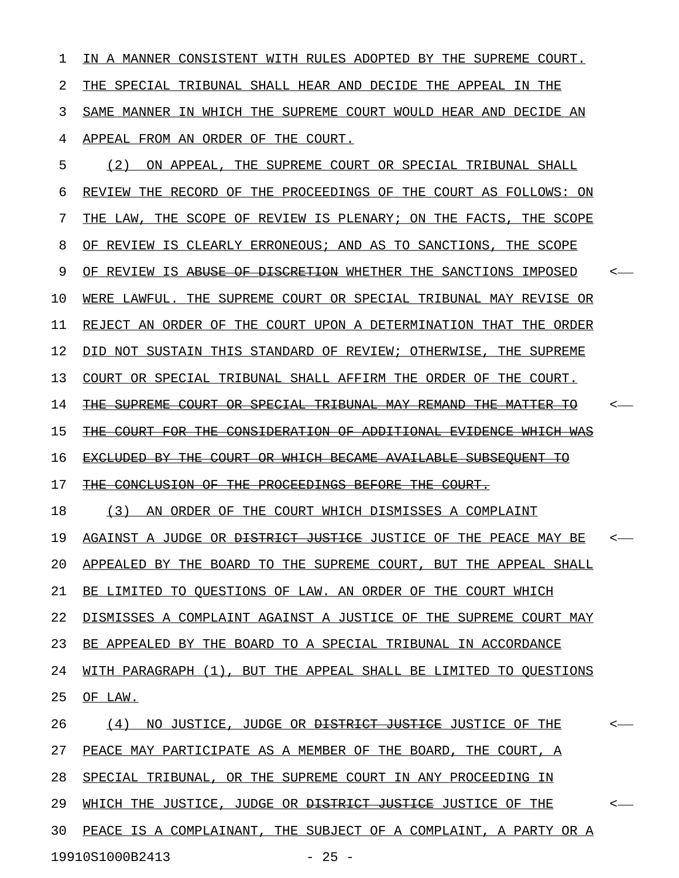$1$  IN A MANNER CONSISTENT WITH RULES ADOPTED BY THE SUPREME COURT. 2 THE SPECIAL TRIBUNAL SHALL HEAR AND DECIDE THE APPEAL IN THE 3 SAME MANNER IN WHICH THE SUPREME COURT WOULD HEAR AND DECIDE AN 4 APPEAL FROM AN ORDER OF THE COURT.

5 (2) ON APPEAL, THE SUPREME COURT OR SPECIAL TRIBUNAL SHALL 6 REVIEW THE RECORD OF THE PROCEEDINGS OF THE COURT AS FOLLOWS: ON 7 THE LAW, THE SCOPE OF REVIEW IS PLENARY; ON THE FACTS, THE SCOPE 8 OF REVIEW IS CLEARLY ERRONEOUS; AND AS TO SANCTIONS, THE SCOPE 9 OF REVIEW IS <del>ABUSE OF DISCRETION</del> WHETHER THE SANCTIONS IMPOSED  $\sim$ 10 WERE LAWFUL. THE SUPREME COURT OR SPECIAL TRIBUNAL MAY REVISE OR 11 REJECT AN ORDER OF THE COURT UPON A DETERMINATION THAT THE ORDER 12 DID NOT SUSTAIN THIS STANDARD OF REVIEW; OTHERWISE, THE SUPREME 13 COURT OR SPECIAL TRIBUNAL SHALL AFFIRM THE ORDER OF THE COURT. 14 THE SUPREME COURT OR SPECIAL TRIBUNAL MAY REMAND THE MATTER TO  $\sim$ 15 THE COURT FOR THE CONSIDERATION OF ADDITIONAL EVIDENCE WHICH WAS 16 EXCLUDED BY THE COURT OR WHICH BECAME AVAILABLE SUBSEOUENT TO 17 THE CONCLUSION OF THE PROCEEDINGS BEFORE THE COURT. 18 (3) AN ORDER OF THE COURT WHICH DISMISSES A COMPLAINT 19 AGAINST A JUDGE OR <del>DISTRICT JUSTICE</del> JUSTICE OF THE PEACE MAY BE <-20 APPEALED BY THE BOARD TO THE SUPREME COURT, BUT THE APPEAL SHALL 21 BE LIMITED TO QUESTIONS OF LAW. AN ORDER OF THE COURT WHICH 22 DISMISSES A COMPLAINT AGAINST A JUSTICE OF THE SUPREME COURT MAY 23 BE APPEALED BY THE BOARD TO A SPECIAL TRIBUNAL IN ACCORDANCE 24 WITH PARAGRAPH (1), BUT THE APPEAL SHALL BE LIMITED TO QUESTIONS 25 OF LAW. 26 (4) NO JUSTICE, JUDGE OR <del>DISTRICT JUSTICE</del> JUSTICE OF THE  $\sim$ 27 PEACE MAY PARTICIPATE AS A MEMBER OF THE BOARD, THE COURT, A 28 SPECIAL TRIBUNAL, OR THE SUPREME COURT IN ANY PROCEEDING IN 29 WHICH THE JUSTICE, JUDGE OR <del>DISTRICT JUSTICE</del> JUSTICE OF THE  $\sim$ 30 PEACE IS A COMPLAINANT, THE SUBJECT OF A COMPLAINT, A PARTY OR A

19910S1000B2413 - 25 -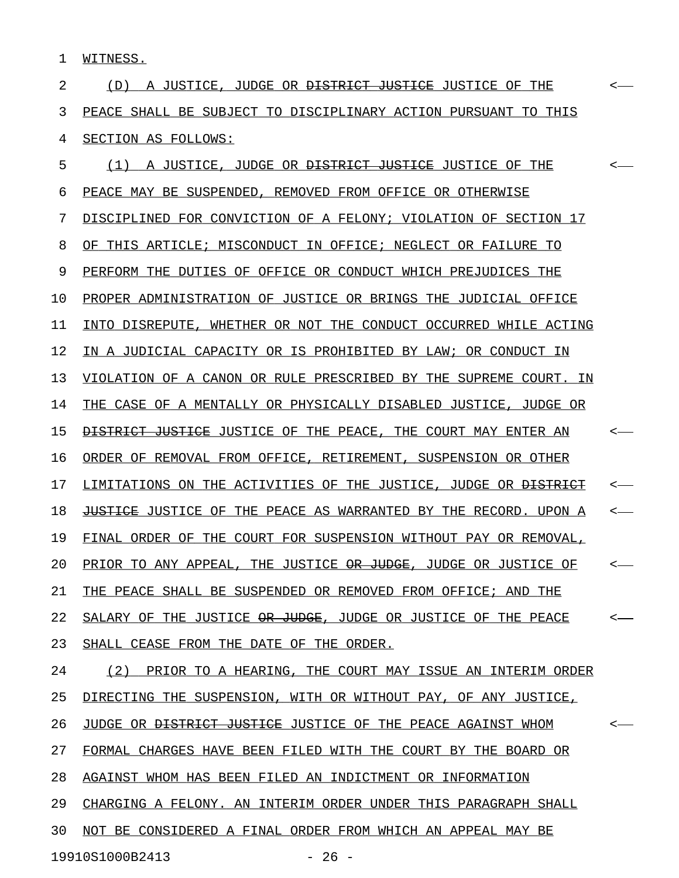1 WITNESS.

2  $(D)$  A JUSTICE, JUDGE OR <del>DISTRICT JUSTICE</del> JUSTICE OF THE  $\leftarrow$ 3 PEACE SHALL BE SUBJECT TO DISCIPLINARY ACTION PURSUANT TO THIS 4 SECTION AS FOLLOWS:

5 (1) A JUSTICE, JUDGE OR <del>DISTRICT JUSTICE</del> JUSTICE OF THE  $\sim$ 6 PEACE MAY BE SUSPENDED, REMOVED FROM OFFICE OR OTHERWISE 7 DISCIPLINED FOR CONVICTION OF A FELONY; VIOLATION OF SECTION 17 8 OF THIS ARTICLE; MISCONDUCT IN OFFICE; NEGLECT OR FAILURE TO 9 PERFORM THE DUTIES OF OFFICE OR CONDUCT WHICH PREJUDICES THE 10 PROPER ADMINISTRATION OF JUSTICE OR BRINGS THE JUDICIAL OFFICE 11 INTO DISREPUTE, WHETHER OR NOT THE CONDUCT OCCURRED WHILE ACTING 12 IN A JUDICIAL CAPACITY OR IS PROHIBITED BY LAW; OR CONDUCT IN 13 VIOLATION OF A CANON OR RULE PRESCRIBED BY THE SUPREME COURT. IN 14 THE CASE OF A MENTALLY OR PHYSICALLY DISABLED JUSTICE, JUDGE OR 15 <del>DISTRICT JUSTICE</del> JUSTICE OF THE PEACE, THE COURT MAY ENTER AN <-16 ORDER OF REMOVAL FROM OFFICE, RETIREMENT, SUSPENSION OR OTHER 17 LIMITATIONS ON THE ACTIVITIES OF THE JUSTICE, JUDGE OR <del>DISTRICT</del> <-18 JUSTICE JUSTICE OF THE PEACE AS WARRANTED BY THE RECORD. UPON A  $\sim$ -19 FINAL ORDER OF THE COURT FOR SUSPENSION WITHOUT PAY OR REMOVAL, 20 PRIOR TO ANY APPEAL, THE JUSTICE <del>OR JUDGE</del>, JUDGE OR JUSTICE OF  $\sim$ 21 THE PEACE SHALL BE SUSPENDED OR REMOVED FROM OFFICE; AND THE 22 SALARY OF THE JUSTICE  $\Theta$ R JUDGE, JUDGE OR JUSTICE OF THE PEACE <-23 SHALL CEASE FROM THE DATE OF THE ORDER. 24 (2) PRIOR TO A HEARING, THE COURT MAY ISSUE AN INTERIM ORDER 25 DIRECTING THE SUSPENSION, WITH OR WITHOUT PAY, OF ANY JUSTICE, 26 JUDGE OR <del>DISTRICT JUSTICE</del> JUSTICE OF THE PEACE AGAINST WHOM <-27 FORMAL CHARGES HAVE BEEN FILED WITH THE COURT BY THE BOARD OR 28 AGAINST WHOM HAS BEEN FILED AN INDICTMENT OR INFORMATION 29 CHARGING A FELONY. AN INTERIM ORDER UNDER THIS PARAGRAPH SHALL 30 NOT BE CONSIDERED A FINAL ORDER FROM WHICH AN APPEAL MAY BE 19910S1000B2413 - 26 -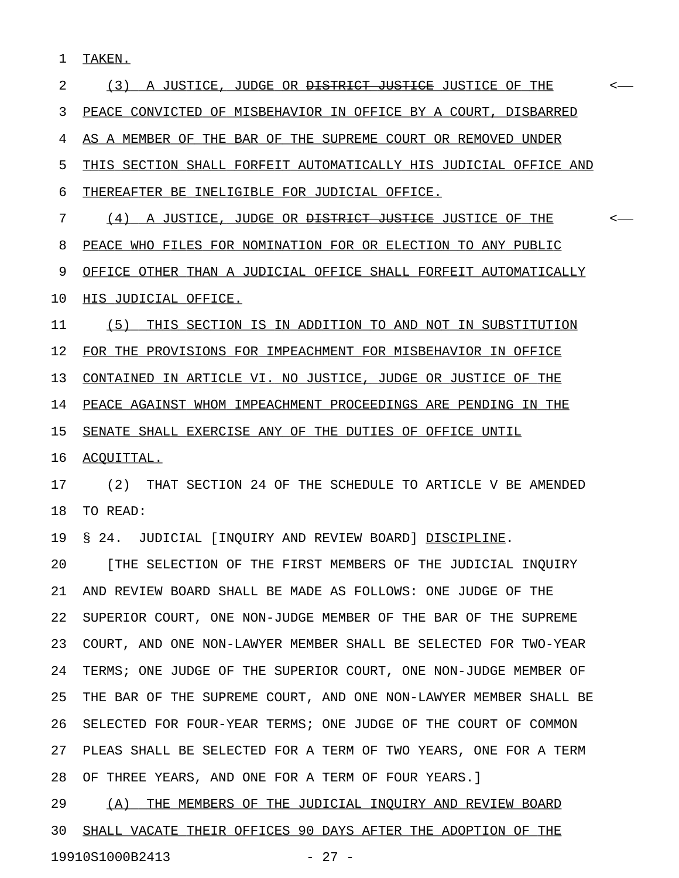1 TAKEN.

2 (3) A JUSTICE, JUDGE OR <del>DISTRICT JUSTICE</del> JUSTICE OF THE  $\sim$ 3 PEACE CONVICTED OF MISBEHAVIOR IN OFFICE BY A COURT, DISBARRED 4 AS A MEMBER OF THE BAR OF THE SUPREME COURT OR REMOVED UNDER 5 THIS SECTION SHALL FORFEIT AUTOMATICALLY HIS JUDICIAL OFFICE AND 6 THEREAFTER BE INELIGIBLE FOR JUDICIAL OFFICE. 7 (4) A JUSTICE, JUDGE OR <del>DISTRICT JUSTICE</del> JUSTICE OF THE  $\sim$ 8 PEACE WHO FILES FOR NOMINATION FOR OR ELECTION TO ANY PUBLIC 9 OFFICE OTHER THAN A JUDICIAL OFFICE SHALL FORFEIT AUTOMATICALLY 10 HIS JUDICIAL OFFICE. 11 (5) THIS SECTION IS IN ADDITION TO AND NOT IN SUBSTITUTION 12 FOR THE PROVISIONS FOR IMPEACHMENT FOR MISBEHAVIOR IN OFFICE 13 CONTAINED IN ARTICLE VI. NO JUSTICE, JUDGE OR JUSTICE OF THE 14 PEACE AGAINST WHOM IMPEACHMENT PROCEEDINGS ARE PENDING IN THE 15 SENATE SHALL EXERCISE ANY OF THE DUTIES OF OFFICE UNTIL 16 ACQUITTAL. 17 (2) THAT SECTION 24 OF THE SCHEDULE TO ARTICLE V BE AMENDED 18 TO READ: 19 § 24. JUDICIAL [INQUIRY AND REVIEW BOARD] DISCIPLINE. 20 [THE SELECTION OF THE FIRST MEMBERS OF THE JUDICIAL INQUIRY 21 AND REVIEW BOARD SHALL BE MADE AS FOLLOWS: ONE JUDGE OF THE 22 SUPERIOR COURT, ONE NON-JUDGE MEMBER OF THE BAR OF THE SUPREME 23 COURT, AND ONE NON-LAWYER MEMBER SHALL BE SELECTED FOR TWO-YEAR 24 TERMS; ONE JUDGE OF THE SUPERIOR COURT, ONE NON-JUDGE MEMBER OF 25 THE BAR OF THE SUPREME COURT, AND ONE NON-LAWYER MEMBER SHALL BE 26 SELECTED FOR FOUR-YEAR TERMS; ONE JUDGE OF THE COURT OF COMMON 27 PLEAS SHALL BE SELECTED FOR A TERM OF TWO YEARS, ONE FOR A TERM 28 OF THREE YEARS, AND ONE FOR A TERM OF FOUR YEARS.] 29 (A) THE MEMBERS OF THE JUDICIAL INQUIRY AND REVIEW BOARD

30 SHALL VACATE THEIR OFFICES 90 DAYS AFTER THE ADOPTION OF THE 19910S1000B2413 - 27 -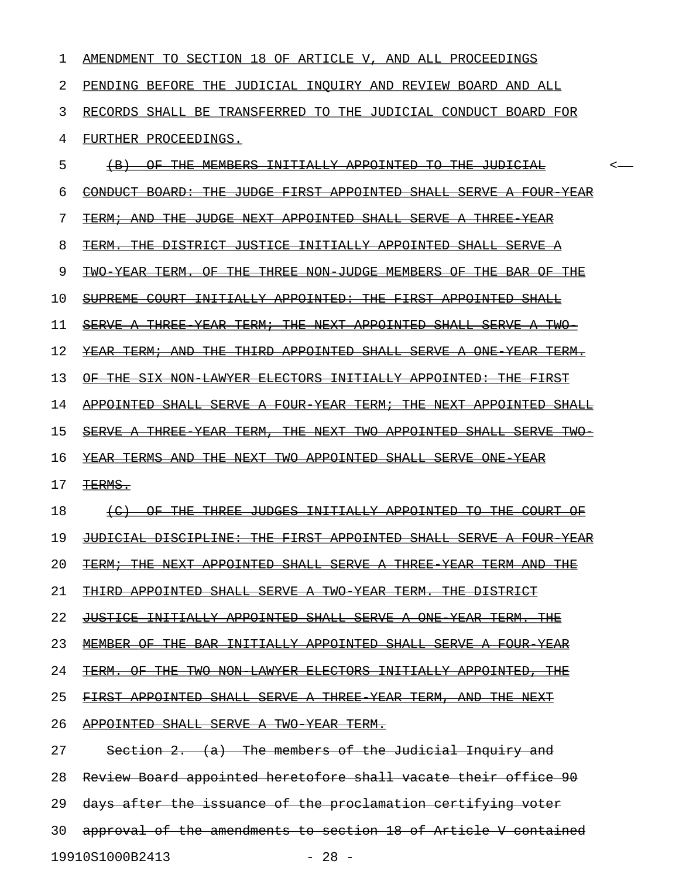| 1              | AMENDMENT TO SECTION 18 OF ARTICLE V, AND ALL PROCEEDINGS                          |  |
|----------------|------------------------------------------------------------------------------------|--|
| $\overline{2}$ | PENDING BEFORE THE JUDICIAL INQUIRY AND REVIEW BOARD AND ALL                       |  |
| 3              | RECORDS SHALL BE TRANSFERRED TO THE JUDICIAL CONDUCT BOARD FOR                     |  |
| 4              | FURTHER PROCEEDINGS.                                                               |  |
| 5              | OF THE MEMBERS INITIALLY APPOINTED TO THE JUDICIAL<br>$+B$                         |  |
| 6              | CONDUCT BOARD: THE JUDGE FIRST APPOINTED SHALL SERVE A FOUR YEAR                   |  |
| 7              | TERM; AND THE JUDGE NEXT APPOINTED SHALL SERVE A THREE<br><del>-YEAR</del>         |  |
| 8              | <del>TERM. THE DISTRICT JUSTICE INITIALLY APPOINTED SHALL SERVE A</del>            |  |
| 9              | TWO YEAR TERM. OF THE THREE NON JUDGE MEMBERS OF THE BAR OF THE                    |  |
| 10             | SUPREME COURT INITIALLY APPOINTED: THE FIRST APPOINTED SHALL                       |  |
| 11             | SERVE A THREE YEAR TERM; THE NEXT APPOINTED SHALL SERVE<br><del>TWO –</del><br>–A– |  |
| 12             | <del>YEAR TERM; AND THE THIRD APPOINTED SHALL SERVE A ONE YEAR TERM.</del>         |  |
| 13             | OF THE SIX NON LAWYER ELECTORS INITIALLY APPOINTED: THE FIRST                      |  |
| 14             | APPOINTED SHALL SERVE A FOUR YEAR TERM; THE NEXT APPOINTED SHALL                   |  |
| 15             | SERVE A THREE YEAR TERM, THE NEXT TWO APPOINTED SHALL SERVE TWO-                   |  |
| 16             | <b>YEAR TERMS AND THE NEXT TWO APPOINTED SHALL SERVE ONE YEAR</b>                  |  |
| 17             | TERMS.                                                                             |  |
| 18             | OF THE THREE JUDGES INITIALLY APPOINTED TO THE COURT OF                            |  |
| 19             | JUDICIAL DISCIPLINE: THE FIRST APPOINTED SHALL SERVE A FOUR YEAR                   |  |
| 20             | TERM; THE NEXT APPOINTED SHALL SERVE A THREE YEAR TERM AND THE                     |  |
| 21             | THIRD APPOINTED SHALL SERVE A TWO YEAR TERM. THE DISTRICT                          |  |
| 22             | JUSTICE INITIALLY APPOINTED SHALL SERVE A ONE YEAR TERM. THE                       |  |
| 23             | MEMBER OF THE BAR INITIALLY APPOINTED SHALL SERVE A FOUR YEAR                      |  |
| 24             | TERM. OF THE TWO NON LAWYER ELECTORS INITIALLY APPOINTED, THE                      |  |
| 25             | FIRST APPOINTED SHALL SERVE A THREE YEAR TERM, AND THE NEXT                        |  |
| 26             | APPOINTED SHALL SERVE A TWO YEAR TERM.                                             |  |
| 27             | Section 2. $(a)$ The members of the Judicial Inquiry and                           |  |
| 28             | Review Board appointed heretofore shall vacate their office 90                     |  |
| 29             | days after the issuance of the proclamation certifying voter                       |  |
| 30             | approval of the amendments to section 18 of Article V contained                    |  |
|                | 19910S1000B2413<br>$-28 -$                                                         |  |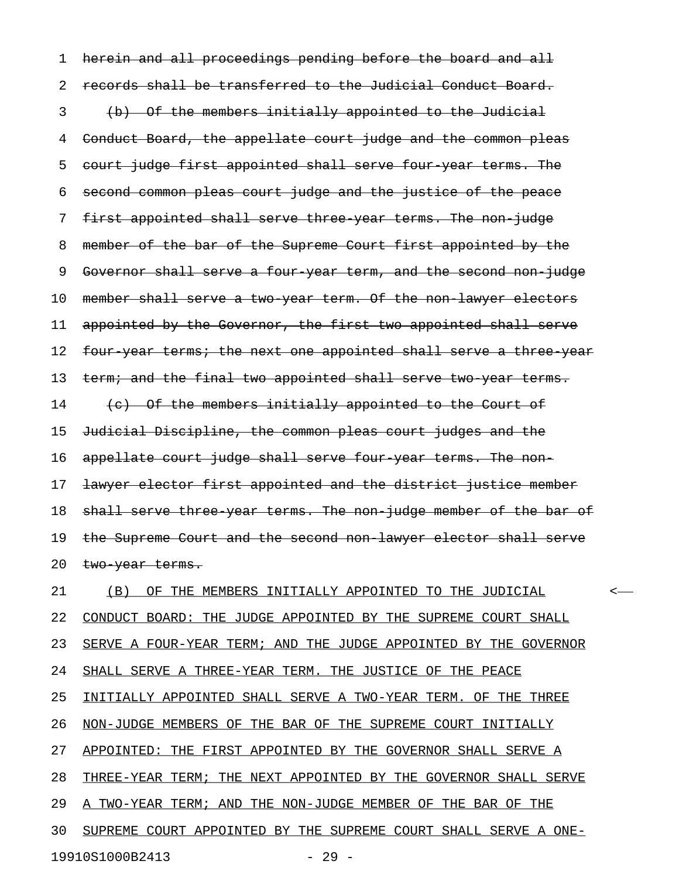1 herein and all proceedings pending before the board and all 2 records shall be transferred to the Judicial Conduct Board. 3 (b) Of the members initially appointed to the Judicial 4 Conduct Board, the appellate court judge and the common pleas 5 court judge first appointed shall serve four year terms. The 6 second common pleas court judge and the justice of the peace 7 first appointed shall serve three year terms. The non-judge 8 member of the bar of the Supreme Court first appointed by the 9 Governor shall serve a four year term, and the second non-judge 10 member shall serve a two-year term. Of the non-lawyer electors 11 appointed by the Governor, the first two appointed shall serve 12 four-year terms; the next one appointed shall serve a three year 13 term; and the final two appointed shall serve two year terms. 14 (c) Of the members initially appointed to the Court of 15 Judicial Discipline, the common pleas court judges and the 16 appellate court judge shall serve four year terms. The non-17 <del>lawyer elector first appointed and the district justice member</del> 18 shall serve three year terms. The non-judge member of the bar of 19 the Supreme Court and the second non-lawyer elector shall serve 20 two-year terms. 21 (B) OF THE MEMBERS INITIALLY APPOINTED TO THE JUDICIAL  $\sim$ 22 CONDUCT BOARD: THE JUDGE APPOINTED BY THE SUPREME COURT SHALL 23 SERVE A FOUR-YEAR TERM; AND THE JUDGE APPOINTED BY THE GOVERNOR 24 SHALL SERVE A THREE-YEAR TERM. THE JUSTICE OF THE PEACE 25 INITIALLY APPOINTED SHALL SERVE A TWO-YEAR TERM. OF THE THREE 26 NON-JUDGE MEMBERS OF THE BAR OF THE SUPREME COURT INITIALLY 27 APPOINTED: THE FIRST APPOINTED BY THE GOVERNOR SHALL SERVE A 28 THREE-YEAR TERM; THE NEXT APPOINTED BY THE GOVERNOR SHALL SERVE 29 A TWO-YEAR TERM; AND THE NON-JUDGE MEMBER OF THE BAR OF THE 30 SUPREME COURT APPOINTED BY THE SUPREME COURT SHALL SERVE A ONE-19910S1000B2413 - 29 -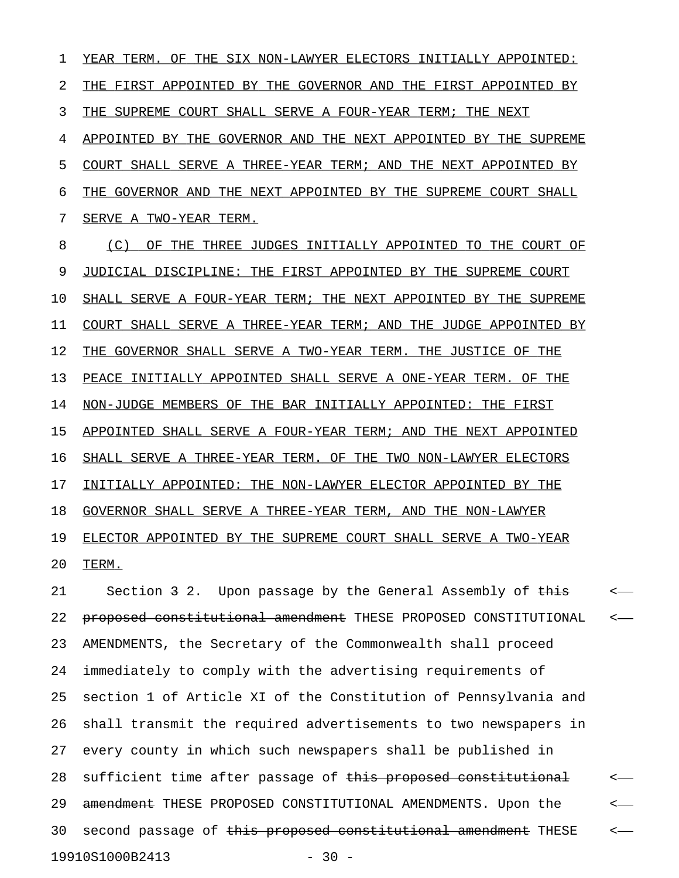1 YEAR TERM. OF THE SIX NON-LAWYER ELECTORS INITIALLY APPOINTED: 2 THE FIRST APPOINTED BY THE GOVERNOR AND THE FIRST APPOINTED BY 3 THE SUPREME COURT SHALL SERVE A FOUR-YEAR TERM; THE NEXT 4 APPOINTED BY THE GOVERNOR AND THE NEXT APPOINTED BY THE SUPREME 5 COURT SHALL SERVE A THREE-YEAR TERM; AND THE NEXT APPOINTED BY 6 THE GOVERNOR AND THE NEXT APPOINTED BY THE SUPREME COURT SHALL 7 SERVE A TWO-YEAR TERM. 8 (C) OF THE THREE JUDGES INITIALLY APPOINTED TO THE COURT OF 9 JUDICIAL DISCIPLINE: THE FIRST APPOINTED BY THE SUPREME COURT 10 SHALL SERVE A FOUR-YEAR TERM; THE NEXT APPOINTED BY THE SUPREME 11 COURT SHALL SERVE A THREE-YEAR TERM; AND THE JUDGE APPOINTED BY 12 THE GOVERNOR SHALL SERVE A TWO-YEAR TERM. THE JUSTICE OF THE 13 PEACE INITIALLY APPOINTED SHALL SERVE A ONE-YEAR TERM. OF THE 14 NON-JUDGE MEMBERS OF THE BAR INITIALLY APPOINTED: THE FIRST 15 APPOINTED SHALL SERVE A FOUR-YEAR TERM; AND THE NEXT APPOINTED 16 SHALL SERVE A THREE-YEAR TERM. OF THE TWO NON-LAWYER ELECTORS 17 INITIALLY APPOINTED: THE NON-LAWYER ELECTOR APPOINTED BY THE 18 GOVERNOR SHALL SERVE A THREE-YEAR TERM, AND THE NON-LAWYER 19 ELECTOR APPOINTED BY THE SUPREME COURT SHALL SERVE A TWO-YEAR 20 TERM. \_\_\_\_\_

21 Section 3 2. Upon passage by the General Assembly of this <-22 proposed constitutional amendment THESE PROPOSED CONSTITUTIONAL <-23 AMENDMENTS, the Secretary of the Commonwealth shall proceed 24 immediately to comply with the advertising requirements of 25 section 1 of Article XI of the Constitution of Pennsylvania and 26 shall transmit the required advertisements to two newspapers in 27 every county in which such newspapers shall be published in 28 sufficient time after passage of this proposed constitutional  $\sim$ 29 <del>amendment</del> THESE PROPOSED CONSTITUTIONAL AMENDMENTS. Upon the  $\leftarrow$ 30 second passage of this proposed constitutional amendment THESE <-19910S1000B2413 - 30 -